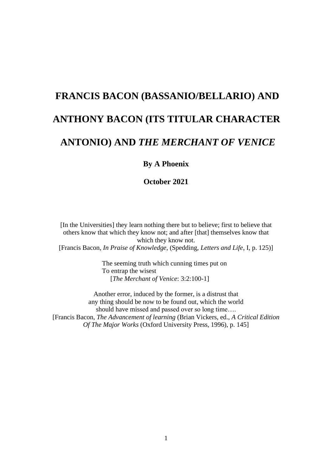# **FRANCIS BACON (BASSANIO/BELLARIO) AND ANTHONY BACON (ITS TITULAR CHARACTER**

### **ANTONIO) AND** *THE MERCHANT OF VENICE*

#### **By A Phoenix**

#### **October 2021**

[In the Universities] they learn nothing there but to believe; first to believe that others know that which they know not; and after [that] themselves know that which they know not. [Francis Bacon, *In Praise of Knowledge*, (Spedding, *Letters and Life*, I, p. 125)]

> The seeming truth which cunning times put on To entrap the wisest [*The Merchant of Venice*: 3:2:100-1]

Another error, induced by the former, is a distrust that any thing should be now to be found out, which the world should have missed and passed over so long time…. [Francis Bacon, *The Advancement of learning* (Brian Vickers, ed., *A Critical Edition Of The Major Works* (Oxford University Press, 1996), p. 145]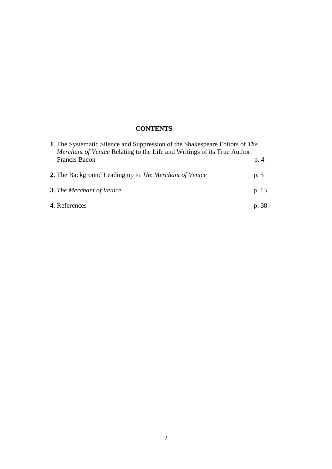#### **CONTENTS**

| 1. The Systematic Silence and Suppression of the Shakespeare Editors of The<br><i>Merchant of Venice</i> Relating to the Life and Writings of its True Author |       |
|---------------------------------------------------------------------------------------------------------------------------------------------------------------|-------|
| Francis Bacon                                                                                                                                                 | p. 4  |
| 2. The Background Leading up to <i>The Merchant of Venice</i>                                                                                                 | p. 5  |
| <b>3.</b> The Merchant of Venice                                                                                                                              | p. 13 |
| 4. References                                                                                                                                                 | p. 38 |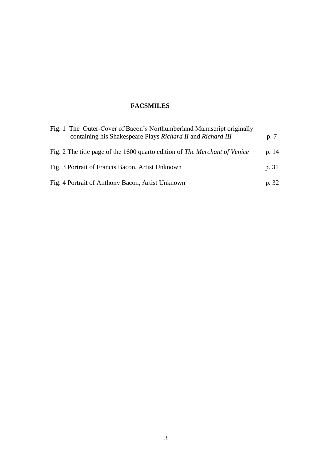#### **FACSMILES**

| Fig. 1 The Outer-Cover of Bacon's Northumberland Manuscript originally<br>containing his Shakespeare Plays Richard II and Richard III | p. 7  |
|---------------------------------------------------------------------------------------------------------------------------------------|-------|
| Fig. 2 The title page of the 1600 quarto edition of The Merchant of Venice                                                            | p. 14 |
| Fig. 3 Portrait of Francis Bacon, Artist Unknown                                                                                      | p. 31 |
| Fig. 4 Portrait of Anthony Bacon, Artist Unknown                                                                                      | p. 32 |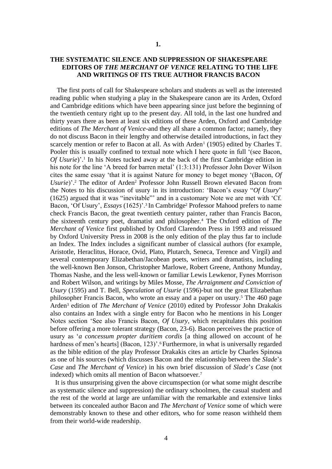#### **THE SYSTEMATIC SILENCE AND SUPPRESSION OF SHAKESPEARE EDITORS OF** *THE MERCHANT OF VENICE* **RELATING TO THE LIFE AND WRITINGS OF ITS TRUE AUTHOR FRANCIS BACON**

 The first ports of call for Shakespeare scholars and students as well as the interested reading public when studying a play in the Shakespeare canon are its Arden, Oxford and Cambridge editions which have been appearing since just before the beginning of the twentieth century right up to the present day. All told, in the last one hundred and thirty years there as been at least six editions of these Arden, Oxford and Cambridge editions of *The Merchant of Venice*-and they all share a common factor; namely, they do not discuss Bacon in their lengthy and otherwise detailed introductions, in fact they scarcely mention or refer to Bacon at all. As with Arden<sup>1</sup> (1905) edited by Charles T. Pooler this is usually confined to textual note which I here quote in full '(see Bacon, *Of Usurie*)'. 1 In his Notes tucked away at the back of the first Cambridge edition in his note for the line 'A breed for barren metal' (1:3:131) Professor John Dover Wilson cites the same essay 'that it is against Nature for money to beget money '(Bacon, *Of*  Usurie)'.<sup>2</sup> The editor of Arden<sup>2</sup> Professor John Russell Brown elevated Bacon from the Notes to his discussion of usury in its introduction: 'Bacon's essay "*Of Usury*" (1625) argued that it was "inevitable"' and in a customary Note we are met with 'Cf. Bacon, 'Of Usury', *Essays* (1625)'.<sup>3</sup> In Cambridge<sup>2</sup> Professor Mahood prefers to name check Francis Bacon, the great twentieth century painter, rather than Francis Bacon, the sixteenth century poet, dramatist and philosopher.<sup>4</sup> The Oxford edition of *The Merchant of Venice* first published by Oxford Clarendon Press in 1993 and reissued by Oxford University Press in 2008 is the only edition of the play thus far to include an Index. The Index includes a significant number of classical authors (for example, Aristotle, Heraclitus, Horace, Ovid, Plato, Plutarch, Seneca, Terence and Virgil) and several contemporary Elizabethan/Jacobean poets, writers and dramatists, including the well-known Ben Jonson, Christopher Marlowe, Robert Greene, Anthony Munday, Thomas Nashe, and the less well-known or familiar Lewis Lewkenor, Fynes Morrison and Robert Wilson, and writings by Miles Mosse, *The Arraignment and Conviction of Usury* (1595) and T. Bell, *Speculation of Usurie* (1596)-but not the great Elizabethan philosopher Francis Bacon, who wrote an essay and a paper on usury.<sup>5</sup> The 460 page Arden<sup>3</sup> edition of *The Merchant of Venice* (2010) edited by Professor John Drakakis also contains an Index with a single entry for Bacon who he mentions in his Longer Notes section 'See also Francis Bacon, *Of Usury*, which recapitulates this position before offering a more tolerant strategy (Bacon, 23-6). Bacon perceives the practice of usury as '*a concessum propter duritiem cordis* [a thing allowed on account of he hardness of men's hearts] (Bacon, 123)'.<sup>6</sup> Furthermore, in what is universally regarded as the bible edition of the play Professor Drakakis cites an article by Charles Spinosa as one of his sources (which discusses Bacon and the relationship between the *Slade*'*s Case* and *The Merchant of Venice*) in his own brief discussion of *Slade*'*s Case* (not indexed) which omits all mention of Bacon whatsoever.<sup>7</sup>

 It is thus unsurprising given the above circumspection (or what some might describe as systematic silence and suppression) the ordinary schoolmen, the casual student and the rest of the world at large are unfamiliar with the remarkable and extensive links between its concealed author Bacon and *The Merchant of Venice* some of which were demonstrably known to these and other editors, who for some reason withheld them from their world-wide readership.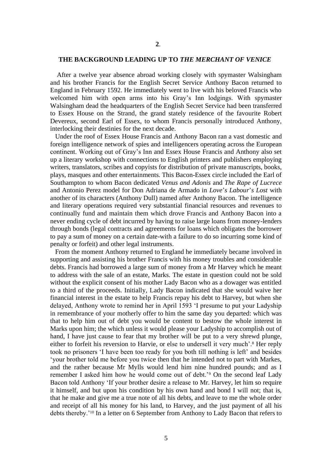#### **THE BACKGROUND LEADING UP TO** *THE MERCHANT OF VENICE*

 After a twelve year absence abroad working closely with spymaster Walsingham and his brother Francis for the English Secret Service Anthony Bacon returned to England in February 1592. He immediately went to live with his beloved Francis who welcomed him with open arms into his Gray's Inn lodgings. With spymaster Walsingham dead the headquarters of the English Secret Service had been transferred to Essex House on the Strand, the grand stately residence of the favourite Robert Devereux, second Earl of Essex, to whom Francis personally introduced Anthony, interlocking their destinies for the next decade.

 Under the roof of Essex House Francis and Anthony Bacon ran a vast domestic and foreign intelligence network of spies and intelligencers operating across the European continent. Working out of Gray's Inn and Essex House Francis and Anthony also set up a literary workshop with connections to English printers and publishers employing writers, translators, scribes and copyists for distribution of private manuscripts, books, plays, masques and other entertainments. This Bacon-Essex circle included the Earl of Southampton to whom Bacon dedicated *Venus and Adonis* and *The Rape of Lucrece* and Antonio Perez model for Don Adriana de Armado in *Love*'*s Labour*'*s Lost* with another of its characters (Anthony Dull) named after Anthony Bacon. The intelligence and literary operations required very substantial financial resources and revenues to continually fund and maintain them which drove Francis and Anthony Bacon into a never ending cycle of debt incurred by having to raise large loans from money-lenders through bonds (legal contracts and agreements for loans which obligates the borrower to pay a sum of money on a certain date-with a failure to do so incurring some kind of penalty or forfeit) and other legal instruments.

 From the moment Anthony returned to England he immediately became involved in supporting and assisting his brother Francis with his money troubles and considerable debts. Francis had borrowed a large sum of money from a Mr Harvey which he meant to address with the sale of an estate, Marks. The estate in question could not be sold without the explicit consent of his mother Lady Bacon who as a dowager was entitled to a third of the proceeds. Initially, Lady Bacon indicated that she would waive her financial interest in the estate to help Francis repay his debt to Harvey, but when she delayed, Anthony wrote to remind her in April 1593 'I presume to put your Ladyship in remembrance of your motherly offer to him the same day you departed: which was that to help him out of debt you would be content to bestow the whole interest in Marks upon him; the which unless it would please your Ladyship to accomplish out of hand, I have just cause to fear that my brother will be put to a very shrewd plunge, either to forfeit his reversion to Harvie, or else to undersell it very much'.<sup>8</sup> Her reply took no prisoners 'I have been too ready for you both till nothing is left' and besides 'your brother told me before you twice then that he intended not to part with Markes, and the rather because Mr Mylls would lend him nine hundred pounds; and as I remember I asked him how he would come out of debt.'<sup>9</sup> On the second leaf Lady Bacon told Anthony 'If your brother desire a release to Mr. Harvey, let him so require it himself, and but upon his condition by his own hand and bond I will not; that is, that he make and give me a true note of all his debts, and leave to me the whole order and receipt of all his money for his land, to Harvey, and the just payment of all his debts thereby.'<sup>10</sup> In a letter on 6 September from Anthony to Lady Bacon that refers to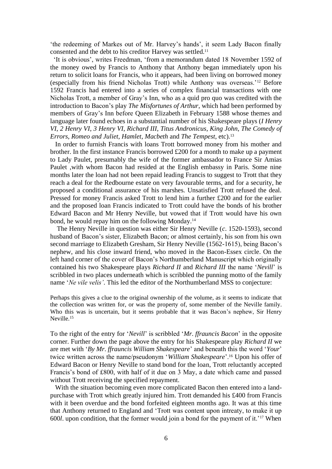'the redeeming of Markes out of Mr. Harvey's hands', it seem Lady Bacon finally consented and the debt to his creditor Harvey was settled.<sup>11</sup>

 'It is obvious', writes Freedman, 'from a memorandum dated 18 November 1592 of the money owed by Francis to Anthony that Anthony began immediately upon his return to solicit loans for Francis, who it appears, had been living on borrowed money (especially from his friend Nicholas Trott) while Anthony was overseas.'<sup>12</sup> Before 1592 Francis had entered into a series of complex financial transactions with one Nicholas Trott, a member of Gray's Inn, who as a quid pro quo was credited with the introduction to Bacon's play *The Misfortunes of Arthur*, which had been performed by members of Gray's Inn before Queen Elizabeth in February 1588 whose themes and language later found echoes in a substantial number of his Shakespeare plays (*I Henry VI*, *2 Henry VI*, *3 Henry VI*, *Richard III*, *Titus Andronicus*, *King John*, *The Comedy of Errors*, *Romeo and Juliet*, *Hamlet*, *Macbeth* and *The Tempest*, etc).<sup>13</sup>

 In order to furnish Francis with loans Trott borrowed money from his mother and brother. In the first instance Francis borrowed £200 for a month to make up a payment to Lady Paulet, presumably the wife of the former ambassador to France Sir Amias Paulet ,with whom Bacon had resided at the English embassy in Paris. Some nine months later the loan had not been repaid leading Francis to suggest to Trott that they reach a deal for the Redbourne estate on very favourable terms, and for a security, he proposed a conditional assurance of his marshes. Unsatisfied Trott refused the deal. Pressed for money Francis asked Trott to lend him a further £200 and for the earlier and the proposed loan Francis indicated to Trott could have the bonds of his brother Edward Bacon and Mr Henry Neville, but vowed that if Trott would have his own bond, he would repay him on the following Monday.<sup>14</sup>

 The Henry Neville in question was either Sir Henry Neville (*c*. 1520-1593), second husband of Bacon's sister, Elizabeth Bacon; or almost certainly, his son from his own second marriage to Elizabeth Gresham, Sir Henry Neville (1562-1615), being Bacon's nephew, and his close inward friend, who moved in the Bacon-Essex circle. On the left hand corner of the cover of Bacon's Northumberland Manuscript which originally contained his two Shakespeare plays *Richard II* and *Richard III* the name '*Nevill*' is scribbled in two places underneath which is scribbled the punning motto of the family name '*Ne vile velis'*. This led the editor of the Northumberland MSS to conjecture:

Perhaps this gives a clue to the original ownership of the volume, as it seems to indicate that the collection was written for, or was the property of, some member of the Neville family. Who this was is uncertain, but it seems probable that it was Bacon's nephew, Sir Henry Neville.<sup>15</sup>

To the right of the entry for '*Nevill*' is scribbled '*Mr*. *ffrauncis Bacon*' in the opposite corner. Further down the page above the entry for his Shakespeare play *Richard II* we are met with '*By Mr*. *ffrauncis William Shakespeare*' and beneath this the word '*Your*' twice written across the name/pseudonym '*William Shakespeare*'.<sup>16</sup> Upon his offer of Edward Bacon or Henry Neville to stand bond for the loan, Trott reluctantly accepted Francis's bond of £800, with half of it due on 3 May, a date which came and passed without Trott receiving the specified repayment.

 With the situation becoming even more complicated Bacon then entered into a landpurchase with Trott which greatly injured him. Trott demanded his £400 from Francis with it been overdue and the bond forfeited eighteen months ago. It was at this time that Anthony returned to England and 'Trott was content upon intreaty, to make it up 600*l*. upon condition, that the former would join a bond for the payment of it.'<sup>17</sup> When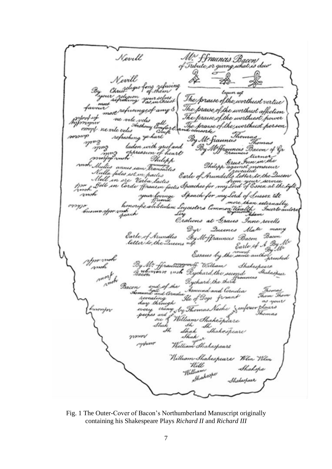M. S frauncis Bacon<br>of Tribute or giving what is down Novell Nevill ncfusing<br>ihem un agt lu The praise of the worthwest vertue most refusinge of any s The praise of the worthwest affection The praise of the worthiest power ne vile vdis loral sa midir The praise of the worthiest person Scathering C empt ne vile velis work refreshing ye hart By M. Siaun laden with gruef and<br>oppression of heart<br>his Philipp  $\mathscr{B}_{\mathfrak{u}}\mathscr{M}$ omno mais  $75385$ moh Mullis annes sam Transactes Nulla futes est in transaïtes<br>Nell in ore Verba lactes<br>Mell in ore Verba lactes<br>Annoh Gell in Corde ffrausin factis Speaches for my Lord of & Earle of Arundello letter, 'ssex at the tyll moh Speach for my Lord of Sussex till your tovinge honorificabilitudine Loycestors Common Wealth more than esternally eroyje meer to autori buswe spr mb a liy Orations at Graces Inne revells  $\mathscr{D}_{\mathscr{U}}\mathscr{U}$ Queenes Mate many Earle of Arundles<br>letter *to t*he Queens By M-ffraunces Bacon Bacon Earle of Essaus by the same author printed apparana M: ffnauti229moff "William" - Sh<br>ubinyon or "rush" Rychard the second Shakespeare moh ubining Shukespeer. numb .<br>..... Rychard the third Bacon end, Asmund and Cornelia Somund in t Corneliu Thom They He of Dogs frmnt revealing<br>day through as your crany by Thomas Nashe Sinferor plains huempr even Thomas peepes and o and is<br>see of William Shakespeare Shak sh dhak Shakespeare sh snak snakesp<br>"shak<sub>esi</sub>r<br>"William Shakespeare monen mpung William Shahespeare Win Wilm Hill Shakspe William lliam<br>Shakespe Shakespear

Fig. 1 The Outer-Cover of Bacon's Northumberland Manuscript originally containing his Shakespeare Plays *Richard II* and *Richard III*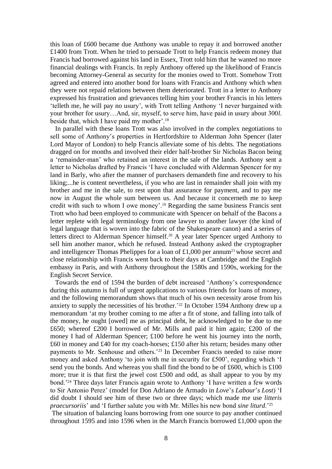this loan of £600 became due Anthony was unable to repay it and borrowed another £1400 from Trott. When he tried to persuade Trott to help Francis redeem money that Francis had borrowed against his land in Essex, Trott told him that he wanted no more financial dealings with Francis. In reply Anthony offered up the likelihood of Francis becoming Attorney-General as security for the monies owed to Trott. Somehow Trott agreed and entered into another bond for loans with Francis and Anthony which when they were not repaid relations between them deteriorated. Trott in a letter to Anthony expressed his frustration and grievances telling him your brother Francis in his letters 'telleth me, he will pay no usury', with Trott telling Anthony 'I never bargained with your brother for usury…And, sir, myself, to serve him, have paid in usury about 300*l*. beside that, which I have paid my mother'.<sup>18</sup>

 In parallel with these loans Trott was also involved in the complex negotiations to sell some of Anthony's properties in Hertfordshire to Alderman John Spencer (later Lord Mayor of London) to help Francis alleviate some of his debts. The negotiations dragged on for months and involved their elder half-brother Sir Nicholas Bacon being a 'remainder-man' who retained an interest in the sale of the lands. Anthony sent a letter to Nicholas drafted by Francis 'I have concluded with Alderman Spencer for my land in Barly, who after the manner of purchasers demandeth fine and recovery to his liking;...he is content nevertheless, if you who are last in remainder shall join with my brother and me in the sale, to rest upon that assurance for payment, and to pay me now in August the whole sum between us. And because it concerneth me to keep credit with such to whom I owe money'.<sup>19</sup> Regarding the same business Francis sent Trott who had been employed to communicate with Spencer on behalf of the Bacons a letter replete with legal terminology from one lawyer to another lawyer (the kind of legal language that is woven into the fabric of the Shakespeare canon) and a series of letters direct to Alderman Spencer himself.<sup>20</sup> A year later Spencer urged Anthony to sell him another manor, which he refused. Instead Anthony asked the cryptographer and intelligencer Thomas Phelippes for a loan of  $\pounds1,000$  per annum<sup>21</sup> whose secret and close relationship with Francis went back to their days at Cambridge and the English embassy in Paris, and with Anthony throughout the 1580s and 1590s, working for the English Secret Service.

 Towards the end of 1594 the burden of debt increased 'Anthony's correspondence during this autumn is full of urgent applications to various friends for loans of money, and the following memorandum shows that much of his own necessity arose from his anxiety to supply the necessities of his brother.'<sup>22</sup> In October 1594 Anthony drew up a memorandum 'at my brother coming to me after a fit of stone, and falling into talk of the money, he ought [owed] me as principal debt, he acknowledged to be due to me £650; whereof £200 I borrowed of Mr. Mills and paid it him again; £200 of the money I had of Alderman Spencer; £100 before he went his journey into the north, £60 in money and £40 for my coach-horses; £150 after his return; besides many other payments to Mr. Senhouse and others.'<sup>23</sup> In December Francis needed to raise more money and asked Anthony 'to join with me in security for £500', regarding which 'I send you the bonds. And whereas you shall find the bond to be of £600, which is £100 more; true it is that first the jewel cost £500 and odd, as shall appear to you by my bond.'<sup>24</sup> Three days later Francis again wrote to Anthony 'I have written a few words to Sir Antonio Perez' (model for Don Adriano de Armado in *Love*'*s Labour*'*s Lost*) 'I did doubt I should see him of these two or three days; which made me use *litteris praecursoriis*' and 'I further salute you with Mr. Milles his new bond *sine liturd*.'<sup>25</sup>

The situation of balancing loans borrowing from one source to pay another continued throughout 1595 and into 1596 when in the March Francis borrowed £1,000 upon the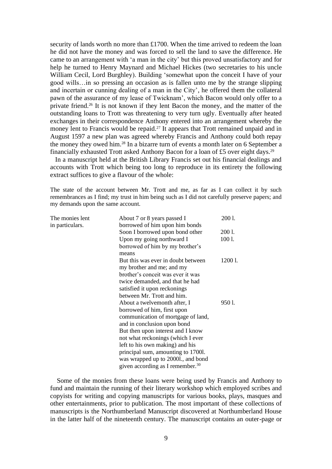security of lands worth no more than £1700. When the time arrived to redeem the loan he did not have the money and was forced to sell the land to save the difference. He came to an arrangement with 'a man in the city' but this proved unsatisfactory and for help he turned to Henry Maynard and Michael Hickes (two secretaries to his uncle William Cecil, Lord Burghley). Building 'somewhat upon the conceit I have of your good wills…in so pressing an occasion as is fallen unto me by the strange slipping and incertain or cunning dealing of a man in the City', he offered them the collateral pawn of the assurance of my lease of Twicknam', which Bacon would only offer to a private friend.<sup>26</sup> It is not known if they lent Bacon the money, and the matter of the outstanding loans to Trott was threatening to very turn ugly. Eventually after heated exchanges in their correspondence Anthony entered into an arrangement whereby the money lent to Francis would be repaid.<sup>27</sup> It appears that Trott remained unpaid and in August 1597 a new plan was agreed whereby Francis and Anthony could both repay the money they owed him.<sup>28</sup> In a bizarre turn of events a month later on 6 September a financially exhausted Trott asked Anthony Bacon for a loan of £5 over eight days.<sup>29</sup>

 In a manuscript held at the British Library Francis set out his financial dealings and accounts with Trott which being too long to reproduce in its entirety the following extract suffices to give a flavour of the whole:

The state of the account between Mr. Trott and me, as far as I can collect it by such remembrances as I find; my trust in him being such as I did not carefully preserve papers; and my demands upon the same account.

| The monies lent | About 7 or 8 years passed I         | 2001.   |
|-----------------|-------------------------------------|---------|
| in particulars. | borrowed of him upon him bonds      |         |
|                 | Soon I borrowed upon bond other     | 200 l.  |
|                 | Upon my going northward I           | 1001.   |
|                 | borrowed of him by my brother's     |         |
|                 | means                               |         |
|                 | But this was ever in doubt between  | 1200 1. |
|                 | my brother and me; and my           |         |
|                 | brother's conceit was ever it was   |         |
|                 | twice demanded, and that he had     |         |
|                 | satisfied it upon reckonings        |         |
|                 | between Mr. Trott and him.          |         |
|                 | About a twelvemonth after, I        | 950 l.  |
|                 | borrowed of him, first upon         |         |
|                 | communication of mortgage of land,  |         |
|                 | and in conclusion upon bond         |         |
|                 | But then upon interest and I know   |         |
|                 | not what reckonings (which I ever   |         |
|                 | left to his own making) and his     |         |
|                 | principal sum, amounting to 1700l.  |         |
|                 | was wrapped up to 20001., and bond  |         |
|                 | given according as I remember. $30$ |         |

 Some of the monies from these loans were being used by Francis and Anthony to fund and maintain the running of their literary workshop which employed scribes and copyists for writing and copying manuscripts for various books, plays, masques and other entertainments, prior to publication. The most important of these collections of manuscripts is the Northumberland Manuscript discovered at Northumberland House in the latter half of the nineteenth century. The manuscript contains an outer-page or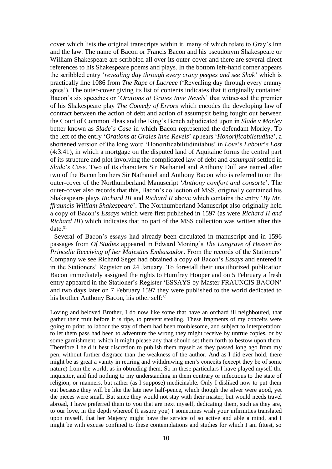cover which lists the original transcripts within it, many of which relate to Gray's Inn and the law. The name of Bacon or Francis Bacon and his pseudonym Shakespeare or William Shakespeare are scribbled all over its outer-cover and there are several direct references to his Shakespeare poems and plays. In the bottom left-hand corner appears the scribbled entry '*revealing day through every crany peepes and see Shak*' which is practically line 1086 from *The Rape of Lucrece* ('Revealing day through every cranny spies'). The outer-cover giving its list of contents indicates that it originally contained Bacon's six speeches or '*Orations at Graies Inne Revels*' that witnessed the premier of his Shakespeare play *The Comedy of Errors* which encodes the developing law of contract between the action of debt and action of assumpsit being fought out between the Court of Common Pleas and the King's Bench adjudicated upon in *Slade v Morley* better known as *Slade*'*s Case* in which Bacon represented the defendant Morley. To the left of the entry '*Orations at Graies Inne Revels*' appears '*Honorificabiletudine*', a shortened version of the long word 'Honorificabilitidinitabus' in *Love*'*s Labour*'*s Lost* (4:3:41), in which a mortgage on the disputed land of Aquitaine forms the central part of its structure and plot involving the complicated law of debt and *assumpsit* settled in *Slad*e'*s Case*. Two of its characters Sir Nathaniel and Anthony Dull are named after two of the Bacon brothers Sir Nathaniel and Anthony Bacon who is referred to on the outer-cover of the Northumberland Manuscript '*Anthony comfort and consorte*'. The outer-cover also records that this, Bacon's collection of MSS, originally contained his Shakespeare plays *Richard III* and *Richard II* above which contains the entry '*By Mr*. *ffrauncis William Shakespeare*'. The Northumberland Manuscript also originally held a copy of Bacon's *Essays* which were first published in 1597 (as were *Richard II and Richard III*) which indicates that no part of the MSS collection was written after this date.<sup>31</sup>

 Several of Bacon's essays had already been circulated in manuscript and in 1596 passages from *Of Studies* appeared in Edward Moning's *The Langrave of Hessen his Princelie Receiving of her Majesties Embassador*. From the records of the Stationers' Company we see Richard Seger had obtained a copy of Bacon's *Essays* and entered it in the Stationers' Register on 24 January. To forestall their unauthorized publication Bacon immediately assigned the rights to Humfrey Hooper and on 5 February a fresh entry appeared in the Stationer's Register 'ESSAYS by Master FRAUNCIS BACON' and two days later on 7 February 1597 they were published to the world dedicated to his brother Anthony Bacon, his other self:<sup>32</sup>

Loving and beloved Brother, I do now like some that have an orchard ill neighboured, that gather their fruit before it is ripe, to prevent stealing. These fragments of my conceits were going to print; to labour the stay of them had been troublesome, and subject to interpretation; to let them pass had been to adventure the wrong they might receive by untrue copies, or by some garnishment, which it might please any that should set them forth to bestow upon them. Therefore I held it best discretion to publish them myself as they passed long ago from my pen, without further disgrace than the weakness of the author. And as I did ever hold, there might be as great a vanity in retiring and withdrawing men's conceits (except they be of some nature) from the world, as in obtruding them: So in these particulars I have played myself the inquisitor, and find nothing to my understanding in them contrary or infectious to the state of religion, or manners, but rather (as I suppose) medicinable. Only I disliked now to put them out because they will be like the late new half-pence, which though the silver were good, yet the pieces were small. But since they would not stay with their master, but would needs travel abroad, I have preferred them to you that are next myself, dedicating them, such as they are, to our love, in the depth whereof (I assure you) I sometimes wish your infirmities translated upon myself, that her Majesty might have the service of so active and able a mind, and I might be with excuse confined to these contemplations and studies for which I am fittest, so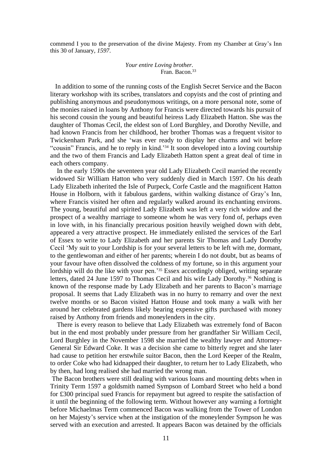commend I you to the preservation of the divine Majesty. From my Chamber at Gray's Inn this 30 of January, *1597*.

#### *Your entire Loving brother*. Fran. Bacon.<sup>33</sup>

 In addition to some of the running costs of the English Secret Service and the Bacon literary workshop with its scribes, translators and copyists and the cost of printing and publishing anonymous and pseudonymous writings, on a more personal note, some of the monies raised in loans by Anthony for Francis were directed towards his pursuit of his second cousin the young and beautiful heiress Lady Elizabeth Hatton. She was the daughter of Thomas Cecil, the eldest son of Lord Burghley, and Dorothy Neville, and had known Francis from her childhood, her brother Thomas was a frequent visitor to Twickenham Park, and she 'was ever ready to display her charms and wit before "cousin" Francis, and he to reply in kind.'<sup>34</sup> It soon developed into a loving courtship and the two of them Francis and Lady Elizabeth Hatton spent a great deal of time in each others company.

 In the early 1590s the seventeen year old Lady Elizabeth Cecil married the recently widowed Sir William Hatton who very suddenly died in March 1597. On his death Lady Elizabeth inherited the Isle of Purpeck, Corfe Castle and the magnificent Hatton House in Holborn, with it fabulous gardens, within walking distance of Gray's Inn, where Francis visited her often and regularly walked around its enchanting environs. The young, beautiful and spirited Lady Elizabeth was left a very rich widow and the prospect of a wealthy marriage to someone whom he was very fond of, perhaps even in love with, in his financially precarious position heavily weighed down with debt, appeared a very attractive prospect. He immediately enlisted the services of the Earl of Essex to write to Lady Elizabeth and her parents Sir Thomas and Lady Dorothy Cecil 'My suit to your Lordship is for your several letters to be left with me, dormant, to the gentlewoman and either of her parents; wherein I do not doubt, but as beams of your favour have often dissolved the coldness of my fortune, so in this argument your lordship will do the like with your pen.<sup>35</sup> Essex accordingly obliged, writing separate letters, dated 24 June 1597 to Thomas Cecil and his wife Lady Dorothy.<sup>36</sup> Nothing is known of the response made by Lady Elizabeth and her parents to Bacon's marriage proposal. It seems that Lady Elizabeth was in no hurry to remarry and over the next twelve months or so Bacon visited Hatton House and took many a walk with her around her celebrated gardens likely bearing expensive gifts purchased with money raised by Anthony from friends and moneylenders in the city.

 There is every reason to believe that Lady Elizabeth was extremely fond of Bacon but in the end most probably under pressure from her grandfather Sir William Cecil, Lord Burghley in the November 1598 she married the wealthy lawyer and Attorney-General Sir Edward Coke. It was a decision she came to bitterly regret and she later had cause to petition her erstwhile suitor Bacon, then the Lord Keeper of the Realm, to order Coke who had kidnapped their daughter, to return her to Lady Elizabeth, who by then, had long realised she had married the wrong man.

The Bacon brothers were still dealing with various loans and mounting debts when in Trinity Term 1597 a goldsmith named Sympson of Lombard Street who held a bond for £300 principal sued Francis for repayment but agreed to respite the satisfaction of it until the beginning of the following term. Without however any warning a fortnight before Michaelmas Term commenced Bacon was walking from the Tower of London on her Majesty's service when at the instigation of the moneylender Sympson he was served with an execution and arrested. It appears Bacon was detained by the officials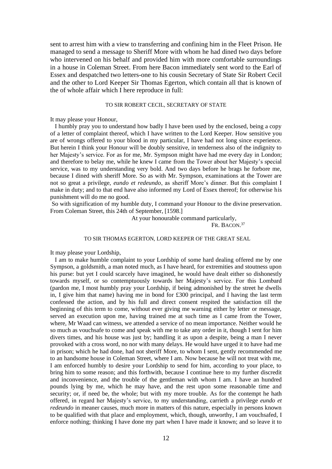sent to arrest him with a view to transferring and confining him in the Fleet Prison. He managed to send a message to Sheriff More with whom he had dined two days before who intervened on his behalf and provided him with more comfortable surroundings in a house in Coleman Street. From here Bacon immediately sent word to the Earl of Essex and despatched two letters-one to his cousin Secretary of State Sir Robert Cecil and the other to Lord Keeper Sir Thomas Egerton, which contain all that is known of the of whole affair which I here reproduce in full:

#### TO SIR ROBERT CECIL, SECRETARY OF STATE

#### It may please your Honour,

 I humbly pray you to understand how badly I have been used by the enclosed, being a copy of a letter of complaint thereof, which I have written to the Lord Keeper. How sensitive you are of wrongs offered to your blood in my particular, I have had not long since experience. But herein I think your Honour will be doubly sensitive, in tenderness also of the indignity to her Majesty's service. For as for me, Mr. Sympson might have had me every day in London; and therefore to belay me, while he knew I came from the Tower about her Majesty's special service, was to my understanding very bold. And two days before he brags he forbore me, because I dined with sheriff More. So as with Mr. Sympson, examinations at the Tower are not so great a privilege, *eundo et redeundo*, as sheriff More's dinner. But this complaint I make in duty; and to that end have also informed my Lord of Essex thereof; for otherwise his punishment will do me no good.

So with signification of my humble duty, I command your Honour to the divine preservation. From Coleman Street, this 24th of September, [1598.]

 At your honourable command particularly, FR. BACON.<sup>37</sup>

#### TO SIR THOMAS EGERTON, LORD KEEPER OF THE GREAT SEAL

It may please your Lordship,

 I am to make humble complaint to your Lordship of some hard dealing offered me by one Sympson, a goldsmith, a man noted much, as I have heard, for extremities and stoutness upon his purse: but yet I could scarcely have imagined, he would have dealt either so dishonestly towards myself, or so contemptuously towards her Majesty's service. For this Lombard (pardon me, I most humbly pray your Lordship, if being admonished by the street he dwells in, I give him that name) having me in bond for £300 principal, and I having the last term confessed the action, and by his full and direct consent respited the satisfaction till the beginning of this term to come, without ever giving me warning either by letter or message, served an execution upon me, having trained me at such time as I came from the Tower, where, Mr Waad can witness, we attended a service of no mean importance. Neither would he so much as vouchsafe to come and speak with me to take any order in it, though I sent for him divers times, and his house was just by; handling it as upon a despite, being a man I never provoked with a cross word, no nor with many delays. He would have urged it to have had me in prison; which he had done, had not sheriff More, to whom I sent, gently recommended me to an handsome house in Coleman Street, where I am. Now because he will not treat with me, I am enforced humbly to desire your Lordship to send for him, according to your place, to bring him to some reason; and this forthwith, because I continue here to my further discredit and inconvenience, and the trouble of the gentleman with whom I am. I have an hundred pounds lying by me, which he may have, and the rest upon some reasonable time and security; or, if need be, the whole; but with my more trouble. As for the contempt he hath offered, in regard her Majesty's service, to my understanding, carrieth a privilege *eundo et redeundo* in meaner causes, much more in matters of this nature, especially in persons known to be qualified with that place and employment, which, though, unworthy, I am vouchsafed, I enforce nothing; thinking I have done my part when I have made it known; and so leave it to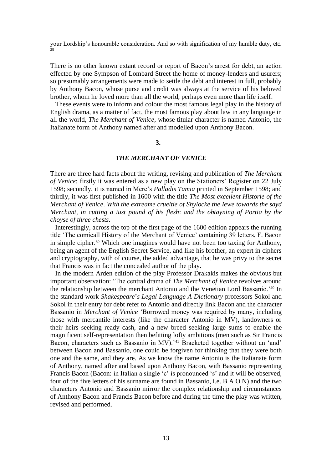your Lordship's honourable consideration. And so with signification of my humble duty, etc. 38

There is no other known extant record or report of Bacon's arrest for debt, an action effected by one Sympson of Lombard Street the home of money-lenders and usurers; so presumably arrangements were made to settle the debt and interest in full, probably by Anthony Bacon, whose purse and credit was always at the service of his beloved brother, whom he loved more than all the world, perhaps even more than life itself.

 These events were to inform and colour the most famous legal play in the history of English drama, as a matter of fact, the most famous play about law in any language in all the world, *The Merchant of Venice*, whose titular character is named Antonio, the Italianate form of Anthony named after and modelled upon Anthony Bacon.

#### **3.**

#### *THE MERCHANT OF VENICE*

There are three hard facts about the writing, revising and publication of *The Merchant of Venice*; firstly it was entered as a new play on the Stationers' Register on 22 July 1598; secondly, it is named in Mere's *Palladis Tamia* printed in September 1598; and thirdly, it was first published in 1600 with the title *The Most excellent Historie of the Merchant of Venice*. *With the extreame crueltie of Shylocke the Iewe towards the sayd Merchant*, *in cutting a iust pound of his flesh*: *and the obtayning of Portia by the choyse of three chests*.

 Interestingly, across the top of the first page of the 1600 edition appears the running title 'The comicall History of the Merchant of Venice' containing 39 letters, F. Bacon in simple cipher.<sup>39</sup> Which one imagines would have not been too taxing for Anthony, being an agent of the English Secret Service, and like his brother, an expert in ciphers and cryptography, with of course, the added advantage, that he was privy to the secret that Francis was in fact the concealed author of the play.

 In the modern Arden edition of the play Professor Drakakis makes the obvious but important observation: 'The central drama of *The Merchant of Venice* revolves around the relationship between the merchant Antonio and the Venetian Lord Bassanio.'<sup>40</sup> In the standard work *Shakespeare*'*s Legal Language A Dictionary* professors Sokol and Sokol in their entry for debt refer to Antonio and directly link Bacon and the character Bassanio in *Merchant of Venice* 'Borrowed money was required by many, including those with mercantile interests (like the character Antonio in MV), landowners or their heirs seeking ready cash, and a new breed seeking large sums to enable the magnificent self-representation then befitting lofty ambitions (men such as Sir Francis Bacon, characters such as Bassanio in MV).'<sup>41</sup> Bracketed together without an 'and' between Bacon and Bassanio, one could be forgiven for thinking that they were both one and the same, and they are. As we know the name Antonio is the Italianate form of Anthony, named after and based upon Anthony Bacon, with Bassanio representing Francis Bacon (Bacon: in Italian a single 'c' is pronounced 's' and it will be observed, four of the five letters of his surname are found in Bassanio, i.e. B A O N) and the two characters Antonio and Bassanio mirror the complex relationship and circumstances of Anthony Bacon and Francis Bacon before and during the time the play was written, revised and performed.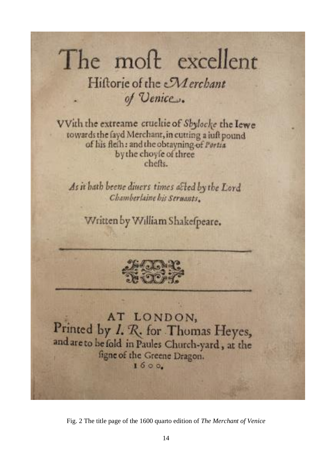## The moft excellent Hiftorie of the Merchant of *<u>Denice</u>*.

VVith the extreame crueltie of Sbylocke the Iewe towards the fayd Merchant, in cutting a juft pound of his flefh: and the obtayning of Portia by the choyfe of three chefts.

As it hath beene divers times afted by the Lord Chamberlaine his Seruants.

Written by William Shakefpeare.



AT LONDON, Printed by I. R. for Thomas Heyes, and are to be fold in Paules Church-yard, at the figne of the Greene Dragon.  $1600$ 

Fig. 2 The title page of the 1600 quarto edition of *The Merchant of Venice*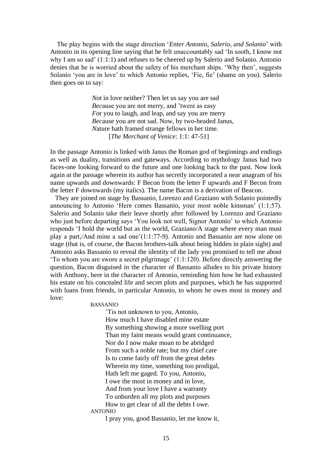The play begins with the stage direction '*Enter Antonio*, *Salerio*, *and Solanio*' with Antonio in its opening line saying that he felt unaccountably sad 'In sooth, I know not why I am so sad'  $(1:1:1)$  and refuses to be cheered up by Salerio and Solanio. Antonio denies that he is worried about the safety of his merchant ships. 'Why then', suggests Solanio 'you are in love' to which Antonio replies, 'Fie, fie' (shame on you). Salerio then goes on to say:

> *No*t in love neither? Then let us say you are sad *Bec*ause you are not merry, and 'twere as easy *Fo*r you to laugh, and leap, and say you are merry *Bec*ause you are not sad. Now, by two-headed Janus, *N*ature hath framed strange fellows in her time. [*The Merchant of Venice*: 1:1: 47-51]

In the passage Antonio is linked with Janus the Roman god of beginnings and endings as well as duality, transitions and gateways. According to mythology Janus had two faces-one looking forward to the future and one looking back to the past. Now look again at the passage wherein its author has secretly incorporated a near anagram of his name upwards and downwards: F Becon from the letter F upwards and F Becon from the letter F downwards (my italics). The name Bacon is a derivation of Beacon.

 They are joined on stage by Bassanio, Lorenzo and Graziano with Solanio pointedly announcing to Antonio 'Here comes Bassanio, your most noble kinsman' (1:1:57). Salerio and Solanio take their leave shortly after followed by Lorenzo and Graziano who just before departing says 'You look not well, Signor Antonio' to which Antonio responds 'I hold the world but as the world, Graziano/A stage where every man must play a part,/And mine a sad one'(1:1:77-9). Antonio and Bassanio are now alone on stage (that is, of course, the Bacon brothers-talk about being hidden in plain sight) and Antonio asks Bassanio to reveal the identity of the lady you promised to tell me about 'To whom you are swore a secret pilgrimage' (1:1:120). Before directly answering the question, Bacon disguised in the character of Bassanio alludes to his private history with Anthony, here in the character of Antonio, reminding him how he had exhausted his estate on his concealed life and secret plots and purposes, which he has supported with loans from friends, in particular Antonio, to whom he owes most in money and love:

#### BASSANIO

 'Tis not unknown to you, Antonio, How much I have disabled mine estate By something showing a more swelling port Than my faint means would grant continuance, Nor do I now make moan to be abridged From such a noble rate; but my chief care Is to come fairly off from the great debts Wherein my time, something too prodigal, Hath left me gaged. To you, Antonio, I owe the most in money and in love, And from your love I have a warranty To unburden all my plots and purposes How to get clear of all the debts I owe.

#### ANTONIO

I pray you, good Bassanio, let me know it,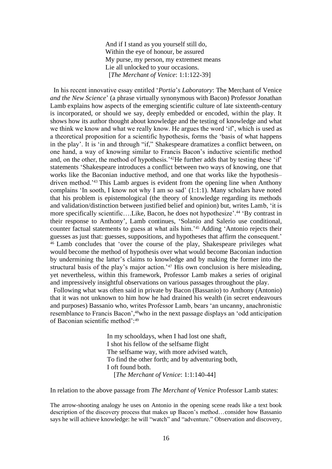And if I stand as you yourself still do, Within the eye of honour, be assured My purse, my person, my extremest means Lie all unlocked to your occasions. [*The Merchant of Venice*: 1:1:122-39]

 In his recent innovative essay entitled '*Portia*'*s Laboratory*: The Merchant of Venice *and the New Science*' (a phrase virtually synonymous with Bacon) Professor Jonathan Lamb explains how aspects of the emerging scientific culture of late sixteenth-century is incorporated, or should we say, deeply embedded or encoded, within the play. It shows how its author thought about knowledge and the testing of knowledge and what we think we know and what we really know. He argues the word 'if', which is used as a theoretical proposition for a scientific hypothesis, forms the 'basis of what happens in the play'. It is 'in and through "if," Shakespeare dramatizes a conflict between, on one hand, a way of knowing similar to Francis Bacon's inductive scientific method and, on the other, the method of hypothesis.'<sup>42</sup>He further adds that by testing these 'if' statements 'Shakespeare introduces a conflict between two ways of knowing, one that works like the Baconian inductive method, and one that works like the hypothesis– driven method.'<sup>43</sup> This Lamb argues is evident from the opening line when Anthony complains 'In sooth, I know not why I am so sad' (1:1:1). Many scholars have noted that his problem is epistemological (the theory of knowledge regarding its methods and validation/distinction between justified belief and opinion) but, writes Lamb, 'it is more specifically scientific....Like, Bacon, he does not hypothesize'.<sup>44</sup> 'By contrast in their response to Anthony', Lamb continues, 'Solanio and Salerio use conditional, counter factual statements to guess at what ails him.'<sup>45</sup> Adding 'Antonio rejects their guesses as just that: guesses, suppositions, and hypotheses that affirm the consequent.' <sup>46</sup> Lamb concludes that 'over the course of the play, Shakespeare privileges what would become the method of hypothesis over what would become Baconian induction by undermining the latter's claims to knowledge and by making the former into the structural basis of the play's major action.'<sup>47</sup> His own conclusion is here misleading, yet nevertheless, within this framework, Professor Lamb makes a series of original and impressively insightful observations on various passages throughout the play.

 Following what was often said in private by Bacon (Bassanio) to Anthony (Antonio) that it was not unknown to him how he had drained his wealth (in secret endeavours and purposes) Bassanio who, writes Professor Lamb, bears 'an uncanny, anachronistic resemblance to Francis Bacon',<sup>48</sup>who in the next passage displays an 'odd anticipation of Baconian scientific method':<sup>49</sup>

> In my schooldays, when I had lost one shaft, I shot his fellow of the selfsame flight The selfsame way, with more advised watch, To find the other forth; and by adventuring both, I oft found both. [*The Merchant of Venice*: 1:1:140-44]

In relation to the above passage from *The Merchant of Venice* Professor Lamb states:

The arrow-shooting analogy he uses on Antonio in the opening scene reads like a text book description of the discovery process that makes up Bacon's method…consider how Bassanio says he will achieve knowledge: he will "watch" and "adventure." Observation and discovery,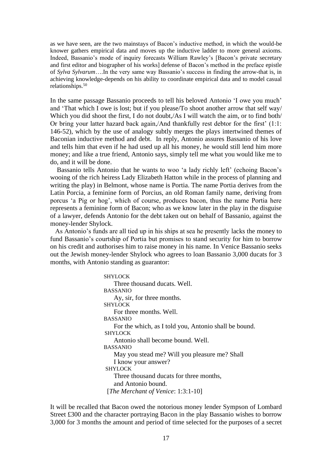as we have seen, are the two mainstays of Bacon's inductive method, in which the would-be knower gathers empirical data and moves up the inductive ladder to more general axioms. Indeed, Bassanio's mode of inquiry forecasts William Rawley's [Bacon's private secretary and first editor and biographer of his works] defense of Bacon's method in the preface epistle of *Sylva Sylvarum*….In the very same way Bassanio's success in finding the arrow-that is, in achieving knowledge-depends on his ability to coordinate empirical data and to model casual relationships.<sup>50</sup>

In the same passage Bassanio proceeds to tell his beloved Antonio 'I owe you much' and 'That which I owe is lost; but if you please/To shoot another arrow that self way/ Which you did shoot the first, I do not doubt./As I will watch the aim, or to find both/ Or bring your latter hazard back again,/And thankfully rest debtor for the first' (1:1: 146-52), which by the use of analogy subtly merges the plays intertwined themes of Baconian inductive method and debt. In reply, Antonio assures Bassanio of his love and tells him that even if he had used up all his money, he would still lend him more money; and like a true friend, Antonio says, simply tell me what you would like me to do, and it will be done.

 Bassanio tells Antonio that he wants to woo 'a lady richly left' (echoing Bacon's wooing of the rich heiress Lady Elizabeth Hatton while in the process of planning and writing the play) in Belmont, whose name is Portia. The name Portia derives from the Latin Porcia, a feminine form of Porcius, an old Roman family name, deriving from porcus 'a Pig or hog', which of course, produces bacon, thus the name Portia here represents a feminine form of Bacon; who as we know later in the play in the disguise of a lawyer, defends Antonio for the debt taken out on behalf of Bassanio, against the money-lender Shylock.

 As Antonio's funds are all tied up in his ships at sea he presently lacks the money to fund Bassanio's courtship of Portia but promises to stand security for him to borrow on his credit and authorises him to raise money in his name. In Venice Bassanio seeks out the Jewish money-lender Shylock who agrees to loan Bassanio 3,000 ducats for 3 months, with Antonio standing as guarantor:

> SHYLOCK Three thousand ducats. Well. BASSANIO Ay, sir, for three months. SHYLOCK For three months. Well. BASSANIO For the which, as I told you, Antonio shall be bound. SHYLOCK Antonio shall become bound. Well. BASSANIO May you stead me? Will you pleasure me? Shall I know your answer? SHYLOCK Three thousand ducats for three months, and Antonio bound. [*The Merchant of Venice*: 1:3:1-10]

It will be recalled that Bacon owed the notorious money lender Sympson of Lombard Street £300 and the character portraying Bacon in the play Bassanio wishes to borrow 3,000 for 3 months the amount and period of time selected for the purposes of a secret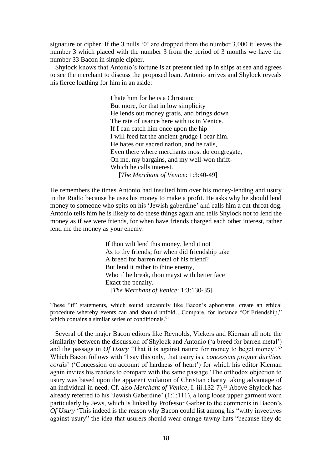signature or cipher. If the 3 nulls '0' are dropped from the number 3,000 it leaves the number 3 which placed with the number 3 from the period of 3 months we have the number 33 Bacon in simple cipher.

 Shylock knows that Antonio's fortune is at present tied up in ships at sea and agrees to see the merchant to discuss the proposed loan. Antonio arrives and Shylock reveals his fierce loathing for him in an aside:

> I hate him for he is a Christian; But more, for that in low simplicity He lends out money gratis, and brings down The rate of usance here with us in Venice. If I can catch him once upon the hip I will feed fat the ancient grudge I bear him. He hates our sacred nation, and he rails, Even there where merchants most do congregate, On me, my bargains, and my well-won thrift- Which he calls interest. [*The Merchant of Venice*: 1:3:40-49]

He remembers the times Antonio had insulted him over his money-lending and usury in the Rialto because he uses his money to make a profit. He asks why he should lend money to someone who spits on his 'Jewish gaberdine' and calls him a cut-throat dog. Antonio tells him he is likely to do these things again and tells Shylock not to lend the money as if we were friends, for when have friends charged each other interest, rather lend me the money as your enemy:

> If thou wilt lend this money, lend it not As to thy friends; for when did friendship take A breed for barren metal of his friend? But lend it rather to thine enemy, Who if he break, thou mayst with better face Exact the penalty. [*The Merchant of Venice*: 1:3:130-35]

These "if" statements, which sound uncannily like Bacon's aphorisms, create an ethical procedure whereby events can and should unfold…Compare, for instance "Of Friendship," which contains a similar series of conditionals.<sup>51</sup>

 Several of the major Bacon editors like Reynolds, Vickers and Kiernan all note the similarity between the discussion of Shylock and Antonio ('a breed for barren metal') and the passage in *Of Usury* 'That it is against nature for money to beget money'.<sup>52</sup> Which Bacon follows with 'I say this only, that usury is a *concessum propter duritiem cordis*' ('Concession on account of hardness of heart') for which his editor Kiernan again invites his readers to compare with the same passage 'The orthodox objection to usury was based upon the apparent violation of Christian charity taking advantage of an individual in need. Cf. also *Merchant of Venice*, I. iii.132-7).<sup>53</sup> Above Shylock has already referred to his 'Jewish Gaberdine' (1:1:111), a long loose upper garment worn particularly by Jews, which is linked by Professor Garber to the comments in Bacon's *Of Usury* 'This indeed is the reason why Bacon could list among his "witty invectives against usury" the idea that usurers should wear orange-tawny hats "because they do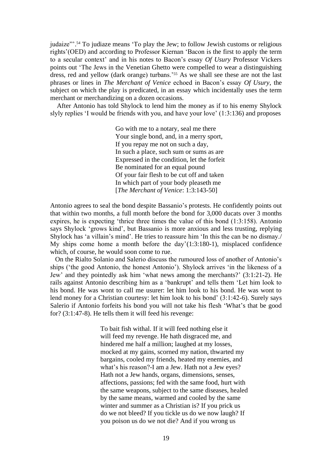judaize"'. <sup>54</sup> To judiaze means 'To play the Jew; to follow Jewish customs or religious rights'(OED) and according to Professor Kiernan 'Bacon is the first to apply the term to a secular context' and in his notes to Bacon's essay *Of Usury* Professor Vickers points out 'The Jews in the Venetian Ghetto were compelled to wear a distinguishing dress, red and yellow (dark orange) turbans.'<sup>55</sup> As we shall see these are not the last phrases or lines in *The Merchant of Venice* echoed in Bacon's essay *Of Usury*, the subject on which the play is predicated, in an essay which incidentally uses the term merchant or merchandizing on a dozen occasions.

 After Antonio has told Shylock to lend him the money as if to his enemy Shylock slyly replies 'I would be friends with you, and have your love' (1:3:136) and proposes

> Go with me to a notary, seal me there Your single bond, and, in a merry sport, If you repay me not on such a day, In such a place, such sum or sums as are Expressed in the condition, let the forfeit Be nominated for an equal pound Of your fair flesh to be cut off and taken In which part of your body pleaseth me [*The Merchant of Venice*: 1:3:143-50]

Antonio agrees to seal the bond despite Bassanio's protests. He confidently points out that within two months, a full month before the bond for 3,000 ducats over 3 months expires, he is expecting 'thrice three times the value of this bond (1:3:158). Antonio says Shylock 'grows kind', but Bassanio is more anxious and less trusting, replying Shylock has 'a villain's mind'. He tries to reassure him 'In this the can be no dismay./ My ships come home a month before the day'(1:3:180-1), misplaced confidence which, of course, he would soon come to rue.

 On the Rialto Solanio and Salerio discuss the rumoured loss of another of Antonio's ships ('the good Antonio, the honest Antonio'). Shylock arrives 'in the likeness of a Jew' and they pointedly ask him 'what news among the merchants?' (3:1:21-2). He rails against Antonio describing him as a 'bankrupt' and tells them 'Let him look to his bond. He was wont to call me usurer: let him look to his bond. He was wont to lend money for a Christian courtesy: let him look to his bond' (3:1:42-6). Surely says Salerio if Antonio forfeits his bond you will not take his flesh 'What's that be good for? (3:1:47-8). He tells them it will feed his revenge:

> To bait fish withal. If it will feed nothing else it will feed my revenge. He hath disgraced me, and hindered me half a million; laughed at my losses, mocked at my gains, scorned my nation, thwarted my bargains, cooled my friends, heated my enemies, and what's his reason?-I am a Jew. Hath not a Jew eyes? Hath not a Jew hands, organs, dimensions, senses, affections, passions; fed with the same food, hurt with the same weapons, subject to the same diseases, healed by the same means, warmed and cooled by the same winter and summer as a Christian is? If you prick us do we not bleed? If you tickle us do we now laugh? If you poison us do we not die? And if you wrong us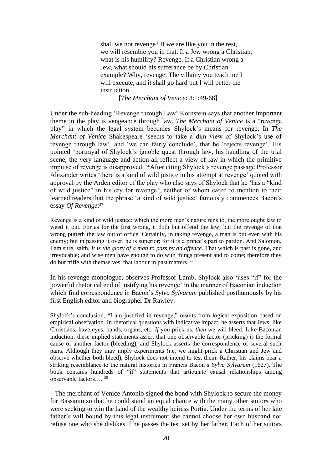shall we not revenge? If we are like you in the rest, we will resemble you in that. If a Jew wrong a Christian, what is his humility? Revenge. If a Christian wrong a Jew, what should his sufferance be by Christian example? Why, revenge. The villainy you teach me I will execute, and it shall go hard but I will better the instruction.

[*The Merchant of Venice*: 3:1:49-68]

Under the sub-heading 'Revenge through Law' Kornstein says that another important theme in the play is vengeance through law. *The Merchant of Venice* is a "revenge play" in which the legal system becomes Shylock's means for revenge. In *The Merchant of Venice* Shakespeare 'seems to take a dim view of Shylock's use of revenge through law', and 'we can fairly conclude', that he 'rejects revenge'. His pointed 'portrayal of Shylock's ignoble quest through law, his handling of the trial scene, the very language and action-all reflect a view of law in which the primitive impulse of revenge is disapproved.'56After citing Shylock's revenge passage Professor Alexander writes 'there is a kind of wild justice in his attempt at revenge' quoted with approval by the Arden editor of the play who also says of Shylock that he 'has a "kind of wild justice" in his cry for revenge'; neither of whom cared to mention to their learned readers that the phrase 'a kind of wild justice' famously commences Bacon's essay *Of Revenge*: 57

Revenge is a kind of wild justice; which the more man's nature runs to, the more ought law to weed it out. For as for the first wrong, it doth but offend the law; but the revenge of that wrong putteth the law out of office. Certainly, in taking revenge, a man is but even with his enemy; but in passing it over, he is superior; for it is a prince's part to pardon. And Salomon, I am sure, saith, *It is the glory of a man to pass by an offence*. That which is past is gone, and irrevocable; and wise men have enough to do with things present and to come; therefore they do but trifle with themselves, that labour in past matters.<sup>58</sup>

In his revenge monologue, observes Professor Lamb, Shylock also 'uses "if" for the powerful rhetorical end of justifying his revenge' in the manner of Baconian induction which find correspondence in Bacon's *Sylva Sylvarum* published posthumously by his first English editor and biographer Dr Rawley:

Shylock's conclusion, "I am justified in revenge," results from logical exposition based on empirical observation. In rhetorical questions with indicative impact, he asserts that Jews, like Christians, have eyes, hands, organs, etc. *If* you prick us, *then* we will bleed. Like Baconian induction, these implied statements assert that one observable factor (pricking) is the formal cause of another factor (bleeding), and Shylock asserts the correspondence of several such pairs. Although they may imply experiments (i.e. we might prick a Christian and Jew and observe whether both bleed), Shylock does not intend to test them. Rather, his claims bear a striking resemblance to the natural histories in Francis Bacon's *Sylva Sylvarum* (1627). The book contains hundreds of "if" statements that articulate causal relationships among observable factors…. <sup>59</sup>

 The merchant of Venice Antonio signed the bond with Shylock to secure the money for Bassanio so that he could stand an equal chance with the many other suitors who were seeking to win the hand of the wealthy heiress Portia. Under the terms of her late father's will bound by this legal instrument she cannot choose her own husband nor refuse one who she dislikes if he passes the test set by her father. Each of her suitors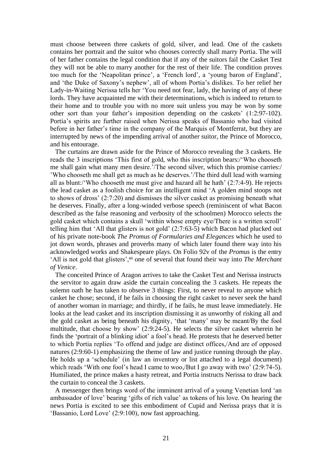must choose between three caskets of gold, silver, and lead. One of the caskets contains her portrait and the suitor who chooses correctly shall marry Portia. The will of her father contains the legal condition that if any of the suitors fail the Casket Test they will not be able to marry another for the rest of their life. The condition proves too much for the 'Neapolitan prince', a 'French lord', a 'young baron of England', and 'the Duke of Saxony's nephew', all of whom Portia's dislikes. To her relief her Lady-in-Waiting Nerissa tells her 'You need not fear, lady, the having of any of these lords. They have acquainted me with their determinations, which is indeed to return to their home and to trouble you with no more suit unless you may be won by some other sort than your father's imposition depending on the caskets' (1:2:97-102). Portia's spirits are further raised when Nerissa speaks of Bassanio who had visited before in her father's time in the company of the Marquis of Montferrat, but they are interrupted by news of the impending arrival of another suitor, the Prince of Morocco, and his entourage.

 The curtains are drawn aside for the Prince of Morocco revealing the 3 caskets. He reads the 3 inscriptions 'This first of gold, who this inscription bears:/'Who chooseth me shall gain what many men desire.'/The second silver, which this promise carries:/ 'Who chooseth me shall get as much as he deserves.'/The third dull lead with warning all as blunt:/'Who chooseth me must give and hazard all he hath' (2:7:4-9). He rejects the lead casket as a foolish choice for an intelligent mind 'A golden mind stoops not to shows of dross' (2:7:20) and dismisses the silver casket as promising beneath what he deserves. Finally, after a long-winded verbose speech (reminiscent of what Bacon described as the false reasoning and verbosity of the schoolmen) Morocco selects the gold casket which contains a skull 'within whose empty eye/There is a written scroll' telling him that 'All that glisters is not gold' (2:7:63-5) which Bacon had plucked out of his private note-book *The Promus of Formularies and Elegances* which he used to jot down words, phrases and proverbs many of which later found there way into his acknowledged works and Shakespeare plays. On Folio 92v of the *Promus* is the entry 'All is not gold that glisters',<sup>60</sup> one of several that found their way into *The Merchant of Venice*.

 The conceited Prince of Aragon arrives to take the Casket Test and Nerissa instructs the servitor to again draw aside the curtain concealing the 3 caskets. He repeats the solemn oath he has taken to observe 3 things: First, to never reveal to anyone which casket he chose; second, if he fails in choosing the right casket to never seek the hand of another woman in marriage; and thirdly, if he fails, he must leave immediately. He looks at the lead casket and its inscription dismissing it as unworthy of risking all and the gold casket as being beneath his dignity, 'that 'many' may be meant/By the fool multitude, that choose by show' (2:9:24-5). He selects the silver casket wherein he finds the 'portrait of a blinking idiot' a fool's head. He protests that he deserved better to which Portia replies 'To offend and judge are distinct offices,/And are of opposed natures (2:9:60-1) emphasizing the theme of law and justice running through the play. He holds up a 'schedule' (in law an inventory or list attached to a legal document) which reads 'With one fool's head I came to woo,/But I go away with two' (2:9:74-5). Humiliated, the prince makes a hasty retreat, and Portia instructs Nerissa to draw back the curtain to conceal the 3 caskets.

 A messenger then brings word of the imminent arrival of a young Venetian lord 'an ambassador of love' bearing 'gifts of rich value' as tokens of his love. On hearing the news Portia is excited to see this embodiment of Cupid and Nerissa prays that it is 'Bassanio, Lord Love' (2:9:100), now fast approaching.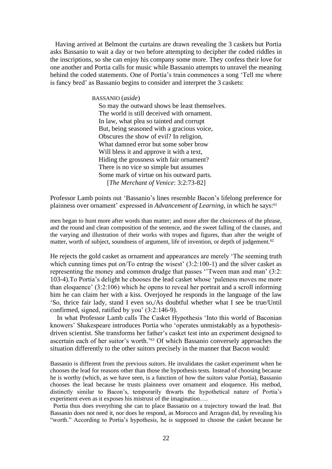Having arrived at Belmont the curtains are drawn revealing the 3 caskets but Portia asks Bassanio to wait a day or two before attempting to decipher the coded riddles in the inscriptions, so she can enjoy his company some more. They confess their love for one another and Portia calls for music while Bassanio attempts to unravel the meaning behind the coded statements. One of Portia's train commences a song 'Tell me where is fancy bred' as Bassanio begins to consider and interpret the 3 caskets:

BASSANIO (*aside*)

 So may the outward shows be least themselves. The world is still deceived with ornament. In law, what plea so tainted and corrupt But, being seasoned with a gracious voice, Obscures the show of evil? In religion, What damned error but some sober brow Will bless it and approve it with a text, Hiding the grossness with fair ornament? There is no vice so simple but assumes Some mark of virtue on his outward parts. [*The Merchant of Venice*: 3:2:73-82]

Professor Lamb points out 'Bassanio's lines resemble Bacon's lifelong preference for plainness over ornament' expressed in *Advancement of Learning*, in which he says:<sup>61</sup>

men began to hunt more after words than matter; and more after the choiceness of the phrase, and the round and clean composition of the sentence, and the sweet falling of the clauses, and the varying and illustration of their works with tropes and figures, than after the weight of matter, worth of subject, soundness of argument, life of invention, or depth of judgement.<sup>62</sup>

He rejects the gold casket as ornament and appearances are merely 'The seeming truth which cunning times put on/To entrap the wisest' (3:2:100-1) and the silver casket as representing the money and common drudge that passes ''Tween man and man' (3:2: 103-4).To Portia's delight he chooses the lead casket whose 'paleness moves me more than eloquence' (3:2:106) which he opens to reveal her portrait and a scroll informing him he can claim her with a kiss. Overjoyed he responds in the language of the law 'So, thrice fair lady, stand I even so,/As doubtful whether what I see be true/Until confirmed, signed, ratified by you' (3:2:146-9).

 In what Professor Lamb calls The Casket Hypothesis 'Into this world of Baconian knowers' Shakespeare introduces Portia who 'operates unmistakably as a hypothesisdriven scientist. She transforms her father's casket test into an experiment designed to ascertain each of her suitor's worth.'<sup>63</sup> Of which Bassanio conversely approaches the situation differently to the other suitors precisely in the manner that Bacon would:

Bassanio is different from the previous suitors. He invalidates the casket experiment when he chooses the lead for reasons other than those the hypothesis tests. Instead of choosing because he is worthy (which, as we have seen, is a function of how the suitors value Portia), Bassanio chooses the lead because he trusts plainness over ornament and eloquence. His method, distinctly similar to Bacon's, temporarily thwarts the hypothetical nature of Portia's experiment even as it exposes his mistrust of the imagination….

 Portia thus does everything she can to place Bassanio on a trajectory toward the lead. But Bassanio does not need it, nor does he respond, as Morocco and Arragon did, by revealing his "worth." According to Portia's hypothesis, he is supposed to choose the casket because he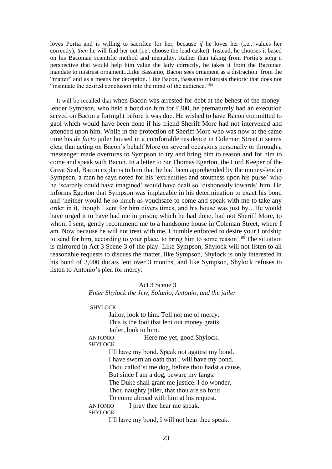loves Portia and is willing to sacrifice for her, because *if* he loves her (i.e., values her correctly), *then* he will find her out (i.e., choose the lead casket). Instead, he chooses it based on his Baconian scientific method and mentality. Rather than taking from Portia's song a perspective that would help him value the lady correctly, he takes it from the Baconian mandate to mistrust ornament...Like Bassanio, Bacon sees ornament as a distraction from the "matter" and as a means for deception. Like Bacon, Bassanio mistrusts rhetoric that does not "insinuate the desired conclusion into the mind of the audience."<sup>64</sup>

 It will be recalled that when Bacon was arrested for debt at the behest of the moneylender Sympson, who held a bond on him for £300, he prematurely had an execution served on Bacon a fortnight before it was due. He wished to have Bacon committed to gaol which would have been done if his friend Sheriff More had not intervened and attended upon him. While in the protection of Sheriff More who was now at the same time his *de facto* jailer housed in a comfortable residence in Coleman Street it seems clear that acting on Bacon's behalf More on several occasions personally or through a messenger made overtures to Sympson to try and bring him to reason and for him to come and speak with Bacon. In a letter to Sir Thomas Egerton, the Lord Keeper of the Great Seal, Bacon explains to him that he had been apprehended by the money-lender Sympson, a man he says noted for his 'extremities and stoutness upon his purse' who he 'scarcely could have imagined' would have dealt so 'dishonestly towards' him. He informs Egerton that Sympson was implacable in his determination to exact his bond and 'neither would he so much as vouchsafe to come and speak with me to take any order in it, though I sent for him divers times, and his house was just by…He would have urged it to have had me in prison; which he had done, had not Sheriff More, to whom I sent, gently recommend me to a handsome house in Coleman Street, where I am. Now because he will not treat with me, I humble enforced to desire your Lordship to send for him, according to your place, to bring him to some reason'.<sup>65</sup> The situation is mirrored in Act 3 Scene 3 of the play. Like Sympson, Shylock will not listen to all reasonable requests to discuss the matter, like Sympson, Shylock is only interested in his bond of 3,000 ducats lent over 3 months, and like Sympson, Shylock refuses to listen to Antonio's plea for mercy:

> Act 3 Scene 3 *Enter Shylock the Jew*, *Solanio*, *Antonio*, *and the jailer*

 SHYLOCK Jailor, look to him. Tell not me of mercy. This is the fool that lent out money gratis. Jailer, look to him. ANTONIO Here me yet, good Shylock. SHYLOCK I'll have my bond. Speak not against my bond. I have sworn an oath that I will have my bond. Thou called'st me dog, before thou hadst a cause, But since I am a dog, beware my fangs. The Duke shall grant me justice. I do wonder, Thou naughty jailer, that thou are so fond To come abroad with him at his request. ANTONIO I pray thee hear me speak. SHYLOCK I'll have my bond, I will not hear thee speak.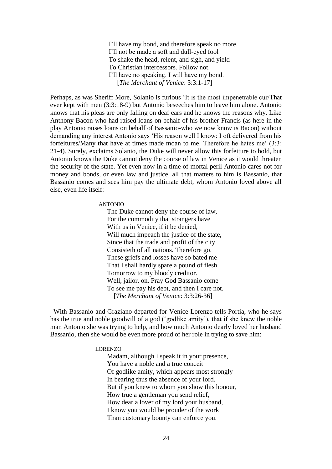I'll have my bond, and therefore speak no more. I'll not be made a soft and dull-eyed fool To shake the head, relent, and sigh, and yield To Christian intercessors. Follow not. I'll have no speaking. I will have my bond. [*The Merchant of Venice*: 3:3:1-17]

Perhaps, as was Sheriff More, Solanio is furious 'It is the most impenetrable cur/That ever kept with men (3:3:18-9) but Antonio beseeches him to leave him alone. Antonio knows that his pleas are only falling on deaf ears and he knows the reasons why. Like Anthony Bacon who had raised loans on behalf of his brother Francis (as here in the play Antonio raises loans on behalf of Bassanio-who we now know is Bacon) without demanding any interest Antonio says 'His reason well I know: I oft delivered from his forfeitures/Many that have at times made moan to me. Therefore he hates me' (3:3: 21-4). Surely, exclaims Solanio, the Duke will never allow this forfeiture to hold, but Antonio knows the Duke cannot deny the course of law in Venice as it would threaten the security of the state. Yet even now in a time of mortal peril Antonio cares not for money and bonds, or even law and justice, all that matters to him is Bassanio, that Bassanio comes and sees him pay the ultimate debt, whom Antonio loved above all else, even life itself:

#### ANTONIO

 The Duke cannot deny the course of law, For the commodity that strangers have With us in Venice, if it be denied, Will much impeach the justice of the state, Since that the trade and profit of the city Consisteth of all nations. Therefore go. These griefs and losses have so bated me That I shall hardly spare a pound of flesh Tomorrow to my bloody creditor. Well, jailor, on. Pray God Bassanio come To see me pay his debt, and then I care not. [*The Merchant of Venice*: 3:3:26-36]

 With Bassanio and Graziano departed for Venice Lorenzo tells Portia, who he says has the true and noble goodwill of a god ('godlike amity'), that if she knew the noble man Antonio she was trying to help, and how much Antonio dearly loved her husband Bassanio, then she would be even more proud of her role in trying to save him:

#### LORENZO

 Madam, although I speak it in your presence, You have a noble and a true conceit Of godlike amity, which appears most strongly In bearing thus the absence of your lord. But if you knew to whom you show this honour, How true a gentleman you send relief, How dear a lover of my lord your husband, I know you would be prouder of the work Than customary bounty can enforce you.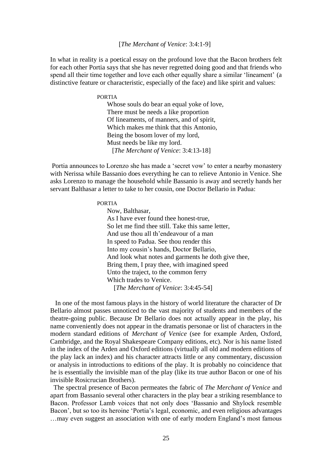#### [*The Merchant of Venice*: 3:4:1-9]

In what in reality is a poetical essay on the profound love that the Bacon brothers felt for each other Portia says that she has never regretted doing good and that friends who spend all their time together and love each other equally share a similar 'lineament' (a distinctive feature or characteristic, especially of the face) and like spirit and values:

#### PORTIA

 Whose souls do bear an equal yoke of love, There must be needs a like proportion Of lineaments, of manners, and of spirit, Which makes me think that this Antonio, Being the bosom lover of my lord, Must needs be like my lord. [*The Merchant of Venice*: 3:4:13-18]

Portia announces to Lorenzo she has made a 'secret vow' to enter a nearby monastery with Nerissa while Bassanio does everything he can to relieve Antonio in Venice. She asks Lorenzo to manage the household while Bassanio is away and secretly hands her servant Balthasar a letter to take to her cousin, one Doctor Bellario in Padua:

#### PORTIA

 Now, Balthasar, As I have ever found thee honest-true, So let me find thee still. Take this same letter, And use thou all th'endeavour of a man In speed to Padua. See thou render this Into my cousin's hands, Doctor Bellario, And look what notes and garments he doth give thee, Bring them, I pray thee, with imagined speed Unto the traject, to the common ferry Which trades to Venice. [*The Merchant of Venice*: 3:4:45-54]

 In one of the most famous plays in the history of world literature the character of Dr Bellario almost passes unnoticed to the vast majority of students and members of the theatre-going public. Because Dr Bellario does not actually appear in the play, his name conveniently does not appear in the dramatis personae or list of characters in the modern standard editions of *Merchant of Venice* (see for example Arden, Oxford, Cambridge, and the Royal Shakespeare Company editions, etc). Nor is his name listed in the index of the Arden and Oxford editions (virtually all old and modern editions of the play lack an index) and his character attracts little or any commentary, discussion or analysis in introductions to editions of the play. It is probably no coincidence that he is essentially the invisible man of the play (like its true author Bacon or one of his invisible Rosicrucian Brothers).

 The spectral presence of Bacon permeates the fabric of *The Merchant of Venice* and apart from Bassanio several other characters in the play bear a striking resemblance to Bacon. Professor Lamb voices that not only does 'Bassanio and Shylock resemble Bacon', but so too its heroine 'Portia's legal, economic, and even religious advantages …may even suggest an association with one of early modern England's most famous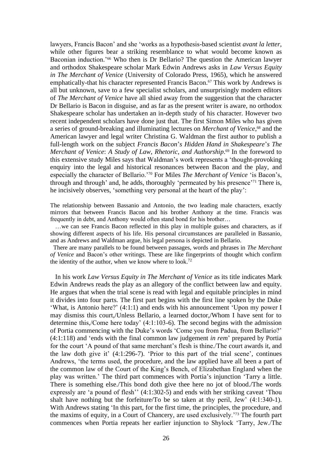lawyers, Francis Bacon' and she 'works as a hypothesis-based scientist *avant la letter*, while other figures bear a striking resemblance to what would become known as Baconian induction.'<sup>66</sup> Who then is Dr Bellario? The question the American lawyer and orthodox Shakespeare scholar Mark Edwin Andrews asks in *Law Versus Equity in The Merchant of Venice* (University of Colorado Press, 1965), which he answered emphatically-that his character represented Francis Bacon.<sup>67</sup> This work by Andrews is all but unknown, save to a few specialist scholars, and unsurprisingly modern editors of *The Merchant of Venice* have all shied away from the suggestion that the character Dr Bellario is Bacon in disguise, and as far as the present writer is aware, no orthodox Shakespeare scholar has undertaken an in-depth study of his character. However two recent independent scholars have done just that. The first Simon Miles who has given a series of ground-breaking and illuminating lectures on *Merchant of Venice*, <sup>68</sup> and the American lawyer and legal writer Christina G. Waldman the first author to publish a full-length work on the subject *Francis Bacon*'*s Hidden Hand in Shakespeare*'*s The Merchant of Venice*: *A Study of Law*, *Rhetoric*, *and Authorship*. <sup>69</sup> In the foreword to this extensive study Miles says that Waldman's work represents a 'thought-provoking enquiry into the legal and historical resonances between Bacon and the play, and especially the character of Bellario.'<sup>70</sup> For Miles *The Merchant of Venice* 'is Bacon's, through and through' and, he adds, thoroughly 'permeated by his presence'<sup>71</sup> There is, he incisively observes, 'something very personal at the heart of the play':

The relationship between Bassanio and Antonio, the two leading male characters, exactly mirrors that between Francis Bacon and his brother Anthony at the time. Francis was frequently in debt, and Anthony would often stand bond for his brother…

 …we can see Francis Bacon reflected in this play in multiple guises and characters, as if showing different aspects of his life. His personal circumstances are paralleled in Bassanio, and as Andrews and Waldman argue, his legal persona is depicted in Bellario.

 There are many parallels to be found between passages, words and phrases in *The Merchant of Venice* and Bacon's other writings. These are like fingerprints of thought which confirm the identity of the author, when we know where to look.<sup>72</sup>

 In his work *Law Versus Equity in The Merchant of Venice* as its title indicates Mark Edwin Andrews reads the play as an allegory of the conflict between law and equity. He argues that when the trial scene is read with legal and equitable principles in mind it divides into four parts. The first part begins with the first line spoken by the Duke 'What, is Antonio here?' (4:1:1) and ends with his announcement 'Upon my power I may dismiss this court,/Unless Bellario, a learned doctor,/Whom I have sent for to determine this,/Come here today' (4:1:103-6). The second begins with the admission of Portia commencing with the Duke's words 'Come you from Padua, from Bellario?' (4:1:118) and 'ends with the final common law judgement *in rem*' prepared by Portia for the court 'A pound of that same merchant's flesh is thine./The court awards it, and the law doth give it' (4:1:296-7). 'Prior to this part of the trial scene', continues Andrews, 'the terms used, the procedure, and the law applied have all been a part of the common law of the Court of the King's Bench, of Elizabethan England when the play was written.' The third part commences with Portia's injunction 'Tarry a little. There is something else./This bond doth give thee here no jot of blood./The words expressly are 'a pound of flesh'' (4:1:302-5) and ends with her striking caveat 'Thou shalt have nothing but the forfeiture/To be so taken at thy peril, Jew' (4:1:340-1). With Andrews stating 'In this part, for the first time, the principles, the procedure, and the maxims of equity, in a Court of Chancery, are used exclusively.'<sup>73</sup> The fourth part commences when Portia repeats her earlier injunction to Shylock 'Tarry, Jew./The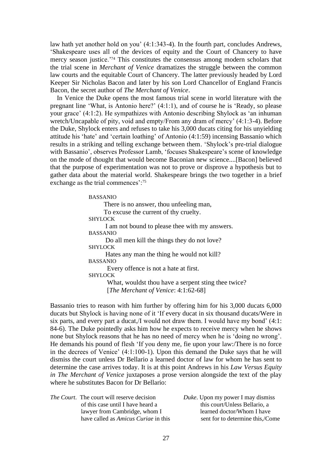law hath yet another hold on you' (4:1:343-4). In the fourth part, concludes Andrews, 'Shakespeare uses all of the devices of equity and the Court of Chancery to have mercy season justice.'<sup>74</sup> This constitutes the consensus among modern scholars that the trial scene in *Merchant of Venice* dramatizes the struggle between the common law courts and the equitable Court of Chancery. The latter previously headed by Lord Keeper Sir Nicholas Bacon and later by his son Lord Chancellor of England Francis Bacon, the secret author of *The Merchant of Venice*.

 In Venice the Duke opens the most famous trial scene in world literature with the pregnant line 'What, is Antonio here?' (4:1:1), and of course he is 'Ready, so please your grace' (4:1:2). He sympathizes with Antonio describing Shylock as 'an inhuman wretch/Uncapable of pity, void and empty/From any dram of mercy' (4:1:3-4). Before the Duke, Shylock enters and refuses to take his 3,000 ducats citing for his unyielding attitude his 'hate' and 'certain loathing' of Antonio (4:1:59) incensing Bassanio which results in a striking and telling exchange between them. 'Shylock's pre-trial dialogue with Bassanio', observes Professor Lamb, 'focuses Shakespeare's scene of knowledge on the mode of thought that would become Baconian new science....[Bacon] believed that the purpose of experimentation was not to prove or disprove a hypothesis but to gather data about the material world. Shakespeare brings the two together in a brief exchange as the trial commences':<sup>75</sup>

> BASSANIO There is no answer, thou unfeeling man, To excuse the current of thy cruelty. SHYLOCK I am not bound to please thee with my answers. BASSANIO Do all men kill the things they do not love? SHYLOCK Hates any man the thing he would not kill? BASSANIO Every offence is not a hate at first. SHYLOCK What, wouldst thou have a serpent sting thee twice? [*The Merchant of Venice*: 4:1:62-68]

Bassanio tries to reason with him further by offering him for his 3,000 ducats 6,000 ducats but Shylock is having none of it 'If every ducat in six thousand ducats/Were in six parts, and every part a ducat,/I would not draw them. I would have my bond' (4:1: 84-6). The Duke pointedly asks him how he expects to receive mercy when he shows none but Shylock reasons that he has no need of mercy when he is 'doing no wrong'. He demands his pound of flesh 'If you deny me, fie upon your law:/There is no force in the decrees of Venice' (4:1:100-1). Upon this demand the Duke says that he will dismiss the court unless Dr Bellario a learned doctor of law for whom he has sent to determine the case arrives today. It is at this point Andrews in his *Law Versus Equity in The Merchant of Venice* juxtaposes a prose version alongside the text of the play where he substitutes Bacon for Dr Bellario:

*The Court*. The court will reserve decision *Duke*. Upon my power I may dismiss of this case until I have heard a this court/Unless Bellario, a lawyer from Cambridge, whom I learned doctor/Whom I have have called as *Amicus Curiae* in this sent for to determine this,/Come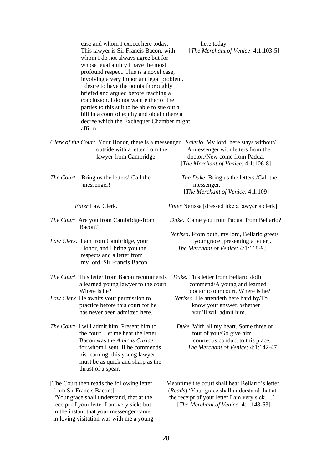|                                                                                                                                                                                                               | case and whom I expect here today.<br>This lawyer is Sir Francis Bacon, with<br>whom I do not always agree but for<br>whose legal ability I have the most<br>profound respect. This is a novel case,<br>involving a very important legal problem.<br>I desire to have the points thoroughly<br>briefed and argued before reaching a<br>conclusion. I do not want either of the<br>parties to this suit to be able to sue out a<br>bill in a court of equity and obtain there a<br>decree which the Exchequer Chamber might<br>affirm. | here today.<br>[The Merchant of Venice: 4:1:103-5]                                                                                                                                                       |
|---------------------------------------------------------------------------------------------------------------------------------------------------------------------------------------------------------------|---------------------------------------------------------------------------------------------------------------------------------------------------------------------------------------------------------------------------------------------------------------------------------------------------------------------------------------------------------------------------------------------------------------------------------------------------------------------------------------------------------------------------------------|----------------------------------------------------------------------------------------------------------------------------------------------------------------------------------------------------------|
|                                                                                                                                                                                                               | <i>Clerk of the Court.</i> Your Honor, there is a messenger<br>outside with a letter from the<br>lawyer from Cambridge.                                                                                                                                                                                                                                                                                                                                                                                                               | Salerio. My lord, here stays without/<br>A messenger with letters from the<br>doctor,/New come from Padua.<br>[The Merchant of Venice: 4:1:106-8]                                                        |
|                                                                                                                                                                                                               | The Court. Bring us the letters! Call the<br>messenger!                                                                                                                                                                                                                                                                                                                                                                                                                                                                               | The Duke. Bring us the letters./Call the<br>messenger.<br>[The Merchant of Venice: 4:1:109]                                                                                                              |
|                                                                                                                                                                                                               | <b>Enter Law Clerk.</b>                                                                                                                                                                                                                                                                                                                                                                                                                                                                                                               | <i>Enter</i> Nerissa [dressed like a lawyer's clerk].                                                                                                                                                    |
|                                                                                                                                                                                                               | The Court. Are you from Cambridge-from<br>Bacon?<br>Law Clerk. I am from Cambridge, your<br>Honor, and I bring you the<br>respects and a letter from<br>my lord, Sir Francis Bacon.                                                                                                                                                                                                                                                                                                                                                   | Duke. Came you from Padua, from Bellario?<br>Nerissa. From both, my lord, Bellario greets<br>your grace [presenting a letter].<br>[The Merchant of Venice: 4:1:118-9]                                    |
|                                                                                                                                                                                                               | <i>The Court.</i> This letter from Bacon recommends<br>a learned young lawyer to the court<br>Where is he?<br>Law Clerk. He awaits your permission to<br>practice before this court for he<br>has never been admitted here.                                                                                                                                                                                                                                                                                                           | Duke. This letter from Bellario doth<br>commend/A young and learned<br>doctor to our court. Where is he?<br>Nerissa. He attendeth here hard by/To<br>know your answer, whether<br>you'll will admit him. |
|                                                                                                                                                                                                               | The Court. I will admit him. Present him to<br>the court. Let me hear the letter.<br>Bacon was the Amicus Curiae<br>for whom I sent. If he commends<br>his learning, this young lawyer<br>must be as quick and sharp as the<br>thrust of a spear.                                                                                                                                                                                                                                                                                     | Duke. With all my heart. Some three or<br>four of you/Go give him<br>courteous conduct to this place.<br>[The Merchant of Venice: 4:1:142-47]                                                            |
| [The Court then reads the following letter]<br>from Sir Francis Bacon:<br>"Your grace shall understand, that at the<br>receipt of your letter I am very sick: but<br>in the instant that your messenger came, |                                                                                                                                                                                                                                                                                                                                                                                                                                                                                                                                       | Meantime the court shall hear Bellario's letter.<br>(Reads) 'Your grace shall understand that at<br>the receipt of your letter I am very sick'<br>[The Merchant of Venice: 4:1:148-63]                   |

in loving visitation was with me a young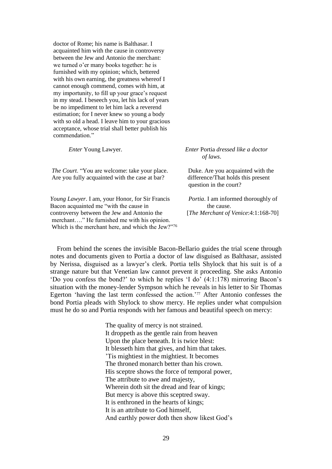doctor of Rome; his name is Balthasar. I acquainted him with the cause in controversy between the Jew and Antonio the merchant: we turned o'er many books together: he is furnished with my opinion; which, bettered with his own earning, the greatness whereof I cannot enough commend, comes with him, at my importunity, to fill up your grace's request in my stead. I beseech you, let his lack of years be no impediment to let him lack a reverend estimation; for I never knew so young a body with so old a head. I leave him to your gracious acceptance, whose trial shall better publish his commendation."

*The Court*. "You are welcome: take your place. Duke. Are you acquainted with the Are you fully acquainted with the case at bar? difference/That holds this present

*Young Lawyer*. I am, your Honor, for Sir Francis *Portia*. I am informed thoroughly of Bacon acquainted me "with the cause in the cause. controversy between the Jew and Antonio the [*The Merchant of Venice*:4:1:168-70] merchant…." He furnished me with his opinion. Which is the merchant here, and which the Jew?"76

 *Enter* Young Lawyer. *Enter* Portia *dressed like a doctor of laws*.

question in the court?

 From behind the scenes the invisible Bacon-Bellario guides the trial scene through notes and documents given to Portia a doctor of law disguised as Balthasar, assisted by Nerissa, disguised as a lawyer's clerk. Portia tells Shylock that his suit is of a strange nature but that Venetian law cannot prevent it proceeding. She asks Antonio 'Do you confess the bond?' to which he replies 'I do' (4:1:178) mirroring Bacon's situation with the money-lender Sympson which he reveals in his letter to Sir Thomas Egerton 'having the last term confessed the action.'<sup>77</sup> After Antonio confesses the bond Portia pleads with Shylock to show mercy. He replies under what compulsion must he do so and Portia responds with her famous and beautiful speech on mercy:

> The quality of mercy is not strained. It droppeth as the gentle rain from heaven Upon the place beneath. It is twice blest: It blesseth him that gives, and him that takes. 'Tis mightiest in the mightiest. It becomes The throned monarch better than his crown. His sceptre shows the force of temporal power, The attribute to awe and majesty, Wherein doth sit the dread and fear of kings; But mercy is above this sceptred sway. It is enthroned in the hearts of kings; It is an attribute to God himself, And earthly power doth then show likest God's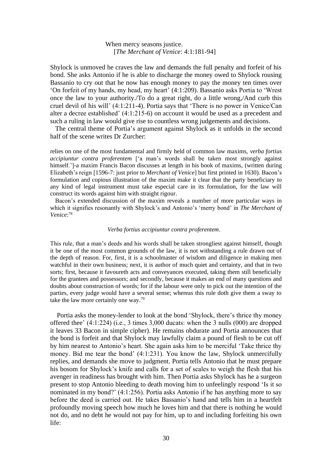#### When mercy seasons justice. [*The Merchant of Venice*: 4:1:181-94]

Shylock is unmoved he craves the law and demands the full penalty and forfeit of his bond. She asks Antonio if he is able to discharge the money owed to Shylock rousing Bassanio to cry out that he now has enough money to pay the money ten times over 'On forfeit of my hands, my head, my heart' (4:1:209). Bassanio asks Portia to 'Wrest once the law to your authority./To do a great right, do a little wrong,/And curb this cruel devil of his will' (4:1:211-4). Portia says that 'There is no power in Venice/Can alter a decree established' (4:1:215-6) on account it would be used as a precedent and such a ruling in law would give rise to countless wrong judgements and decisions.

 The central theme of Portia's argument against Shylock as it unfolds in the second half of the scene writes Dr Zurcher:

relies on one of the most fundamental and firmly held of common law maxims, *verba fortius accipiuntur contra proferentem* ['a man's words shall be taken most strongly against himself.']-a maxim Francis Bacon discusses at length in his book of maxims, (written during Elizabeth's reign [1596-7: just prior to *Merchant of Venice*] but first printed in 1630). Bacon's formulation and copious illustration of the maxim make it clear that the party beneficiary to any kind of legal instrument must take especial care in its formulation, for the law will construct its words against him with straight rigour.

 Bacon's extended discussion of the maxim reveals a number of more particular ways in which it signifies resonantly with Shylock's and Antonio's 'merry bond' in *The Merchant of Venice*: 78

#### *Verba fortius accipiuntur contra proferentem*.

This rule, that a man's deeds and his words shall be taken strongliest against himself, though it be one of the most common grounds of the law, it is not withstanding a rule drawn out of the depth of reason. For, first, it is a schoolmaster of wisdom and diligence in making men watchful in their own business; next, it is author of much quiet and certainty, and that in two sorts; first, because it favoureth acts and conveyances executed, taking them still beneficially for the grantees and possessors; and secondly, because it makes an end of many questions and doubts about construction of words; for if the labour were only to pick out the intention of the parties, every judge would have a several sense; whereas this rule doth give them a sway to take the law more certainly one way.<sup>79</sup>

 Portia asks the money-lender to look at the bond 'Shylock, there's thrice thy money offered thee' (4:1:224) (i.e., 3 times 3,000 ducats: when the 3 nulls (000) are dropped it leaves 33 Bacon in simple cipher). He remains obdurate and Portia announces that the bond is forfeit and that Shylock may lawfully claim a pound of flesh to be cut off by him nearest to Antonio's heart. She again asks him to be merciful 'Take thrice thy money. Bid me tear the bond' (4:1:231). You know the law, Shylock unmercifully replies, and demands she move to judgment. Portia tells Antonio that he must prepare his bosom for Shylock's knife and calls for a set of scales to weigh the flesh that his avenger in readiness has brought with him. Then Portia asks Shylock has he a surgeon present to stop Antonio bleeding to death moving him to unfeelingly respond 'Is it so nominated in my bond?' (4:1:256). Portia asks Antonio if he has anything more to say before the deed is carried out. He takes Bassanio's hand and tells him in a heartfelt profoundly moving speech how much he loves him and that there is nothing he would not do, and no debt he would not pay for him, up to and including forfeiting his own life: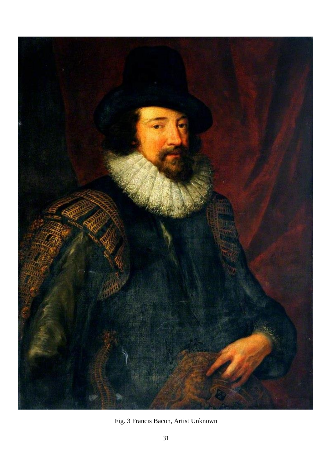

Fig. 3 Francis Bacon, Artist Unknown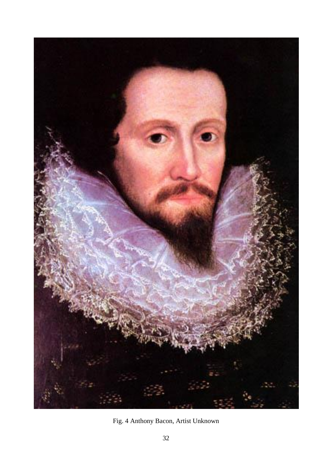

Fig. 4 Anthony Bacon, Artist Unknown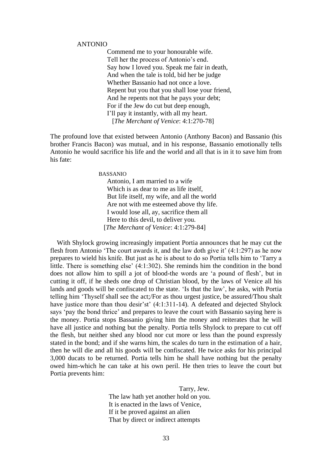#### ANTONIO

 Commend me to your honourable wife. Tell her the process of Antonio's end. Say how I loved you. Speak me fair in death, And when the tale is told, bid her be judge Whether Bassanio had not once a love. Repent but you that you shall lose your friend, And he repents not that he pays your debt; For if the Jew do cut but deep enough, I'll pay it instantly, with all my heart. [*The Merchant of Venice*: 4:1:270-78]

The profound love that existed between Antonio (Anthony Bacon) and Bassanio (his brother Francis Bacon) was mutual, and in his response, Bassanio emotionally tells Antonio he would sacrifice his life and the world and all that is in it to save him from his fate:

#### BASSANIO

 Antonio, I am married to a wife Which is as dear to me as life itself, But life itself, my wife, and all the world Are not with me esteemed above thy life. I would lose all, ay, sacrifice them all Here to this devil, to deliver you. [*The Merchant of Venice*: 4:1:279-84]

 With Shylock growing increasingly impatient Portia announces that he may cut the flesh from Antonio 'The court awards it, and the law doth give it' (4:1:297) as he now prepares to wield his knife. But just as he is about to do so Portia tells him to 'Tarry a little. There is something else' (4:1:302). She reminds him the condition in the bond does not allow him to spill a jot of blood-the words are 'a pound of flesh', but in cutting it off, if he sheds one drop of Christian blood, by the laws of Venice all his lands and goods will be confiscated to the state. 'Is that the law', he asks, with Portia telling him 'Thyself shall see the act;/For as thou urgest justice, be assured/Thou shalt have justice more than thou desir'st' (4:1:311-14). A defeated and dejected Shylock says 'pay the bond thrice' and prepares to leave the court with Bassanio saying here is the money. Portia stops Bassanio giving him the money and reiterates that he will have all justice and nothing but the penalty. Portia tells Shylock to prepare to cut off the flesh, but neither shed any blood nor cut more or less than the pound expressly stated in the bond; and if she warns him, the scales do turn in the estimation of a hair, then he will die and all his goods will be confiscated. He twice asks for his principal 3,000 ducats to be returned. Portia tells him he shall have nothing but the penalty owed him-which he can take at his own peril. He then tries to leave the court but Portia prevents him:

> Tarry, Jew. The law hath yet another hold on you. It is enacted in the laws of Venice, If it be proved against an alien That by direct or indirect attempts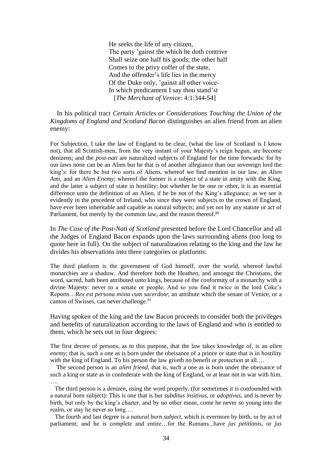He seeks the life of any citizen, The party 'gainst the which he doth contrive Shall seize one half his goods; the other half Comes to the privy coffer of the state, And the offender's life lies in the mercy Of the Duke only, 'gainst all other voice- In which predicament I say thou stand'st [*The Merchant of Venice*: 4:1:344-54]

#### In his political tract *Certain Articles or Considerations Touching the Union of the Kingdoms of England and Scotland Bacon* distinguishes an alien friend from an alien enemy:

For Subjection, I take the law of England to be clear, (what the law of Scotland is I know not), that all Scottish-men, from the very instant of your Majesty's reign begun, are become denizens; and the *post-nati* are naturalized subjects of England for the time forwards: for by our laws none can be an Alien but he that is of another allegiance than our sovereign lord the king's: for there be but two sorts of Aliens, whereof we find mention in our law, an *Alien Ami*, and an *Alien Enemy*; whereof the former is a subject of a state in amity with the King, and the latter a subject of state in hostility; but whether he be one or other, it is an essential difference unto the definition of an Alien, if he be not of the King's allegiance; as we see it evidently in the precedent of Ireland, who since they were subjects to the crown of England, have ever been inheritable and capable as natural subjects; and yet not by any statute or act of Parliament, but merely by the common law, and the reason thereof.<sup>80</sup>

In *The Case of the Post-Nati of Scotland* presented before the Lord Chancellor and all the Judges of England Bacon expands upon the laws surrounding aliens (too long to quote here in full). On the subject of naturalization relating to the king and the law he divides his observations into three categories or platforms:

The third platform is the government of God himself, over the world, whereof lawful monarchies are a shadow. And therefore both the Heathen, and amongst the Christians, the word, sacred, hath been attributed unto kings, because of the conformity of a monarchy with a divine Majesty: never to a senate or people. And so you find it twice in the lord Coke's Reports…*Rex est persona mixta cum sacerdote*; an attribute which the senate of Venice, or a canton of Swisses, can never challenge.<sup>81</sup>

Having spoken of the king and the law Bacon proceeds to consider both the privileges and benefits of naturalization according to the laws of England and who is entitled to them, which he sets out in four degrees:

The first decree of persons, as to this purpose, that the law takes knowledge of, is an *alien enemy*; that is, such a one as is born under the obeisance of a prince or state that is in hostility with the king of England. To his person the law giveth no benefit or protection at all....

 The second person is an *alien friend*, that is, such a one as is born under the obeisance of such a king or state as in confederate with the king of England, or at least not in war with him. ….

 The third person is a *denizen*, using the word properly, (for sometimes it is confounded with a natural born subject): This is one that is but *subditus insitivus*, or *adoptivus*, and is never by birth, but only by the king's charter, and by no other mean, come he never so young into the realm, or stay he never so long….

 The fourth and last degree is a *natural born subject*, which is evermore by birth, or by act of parliament; and he is complete and entire…for the Romans...have *jus petitionis*, or *jus*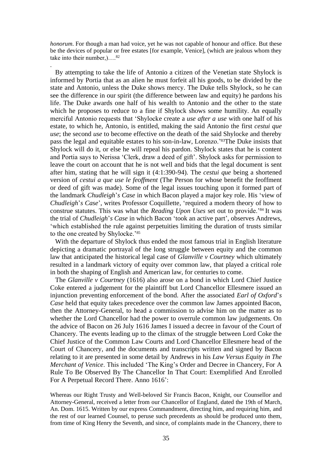*honorum*. For though a man had voice, yet he was not capable of honour and office. But these be the devices of popular or free estates [for example, Venice], (which are jealous whom they take into their number, $) \dots^{82}$ 

.

 By attempting to take the life of Antonio a citizen of the Venetian state Shylock is informed by Portia that as an alien he must forfeit all his goods, to be divided by the state and Antonio, unless the Duke shows mercy. The Duke tells Shylock, so he can see the difference in our spirit (the difference between law and equity) he pardons his life. The Duke awards one half of his wealth to Antonio and the other to the state which he proposes to reduce to a fine if Shylock shows some humility. An equally merciful Antonio requests that 'Shylocke create a *use after a use* with one half of his estate, to which he, Antonio, is entitled, making the said Antonio the first *cestui que use*; the second *use* to become effective on the death of the said Shylocke and thereby pass the legal and equitable estates to his son-in-law, Lorenzo.'83The Duke insists that Shylock will do it, or else he will repeal his pardon. Shylock states that he is content and Portia says to Nerissa 'Clerk, draw a deed of gift'. Shylock asks for permission to leave the court on account that he is not well and bids that the legal document is sent after him, stating that he will sign it (4:1:390-94). The *cestui que* being a shortened version of *cestui a que use le feoffment* (The Person for whose benefit the feoffment or deed of gift was made). Some of the legal issues touching upon it formed part of the landmark *Chudleigh*'*s Case* in which Bacon played a major key role. His 'view of *Chudleigh*'*s Case*', writes Professor Coquillette, 'required a modern theory of how to construe statutes. This was what the *Reading Upon Uses* set out to provide.'<sup>84</sup> It was the trial of *Chudleigh*'*s Case* in which Bacon 'took an active part', observes Andrews, 'which established the rule against perpetuities limiting the duration of trusts similar to the one created by Shylocke.'<sup>85</sup>

 With the departure of Shylock thus ended the most famous trial in English literature depicting a dramatic portrayal of the long struggle between equity and the common law that anticipated the historical legal case of *Glanville v Courtney* which ultimately resulted in a landmark victory of equity over common law, that played a critical role in both the shaping of English and American law, for centuries to come.

 The *Glanville v Courtney* (1616) also arose on a bond in which Lord Chief Justice Coke entered a judgement for the plaintiff but Lord Chancellor Ellesmere issued an injunction preventing enforcement of the bond. After the associated *Earl of Oxford*'*s Case* held that equity takes precedence over the common law James appointed Bacon, then the Attorney-General, to head a commission to advise him on the matter as to whether the Lord Chancellor had the power to overrule common law judgements. On the advice of Bacon on 26 July 1616 James I issued a decree in favour of the Court of Chancery. The events leading up to the climax of the struggle between Lord Coke the Chief Justice of the Common Law Courts and Lord Chancellor Ellesmere head of the Court of Chancery, and the documents and transcripts written and signed by Bacon relating to it are presented in some detail by Andrews in his *Law Versus Equity in The Merchant of Venice*. This included 'The King's Order and Decree in Chancery, For A Rule To Be Observed By The Chancellor In That Court: Exemplified And Enrolled For A Perpetual Record There. Anno 1616':

Whereas our Right Trusty and Well-beloved Sir Francis Bacon, Knight, our Counsellor and Attorney-General, received a letter from our Chancellor of England, dated the 19th of March, An. Dom. 1615. Written by our express Commandment, directing him, and requiring him, and the rest of our learned Counsel, to peruse such precedents as should be produced unto them, from time of King Henry the Seventh, and since, of complaints made in the Chancery, there to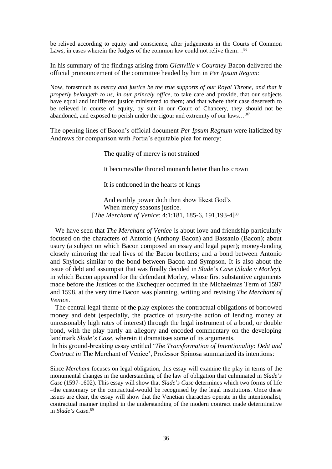be relived according to equity and conscience, after judgements in the Courts of Common Laws, in cases wherein the Judges of the common law could not relive them...<sup>86</sup>

In his summary of the findings arising from *Glanville v Courtney* Bacon delivered the official pronouncement of the committee headed by him in *Per Ipsum Regum*:

Now, forasmuch as *mercy and justice be the true supports of our Royal Throne*, *and that it properly belongeth to us*, *in our princely office*, to take care and provide, that our subjects have equal and indifferent justice ministered to them; and that where their case deserveth to be relieved in course of equity, by suit in our Court of Chancery, they should not be abandoned, and exposed to perish under the rigour and extremity of our laws….87

The opening lines of Bacon's official document *Per Ipsum Regnum* were italicized by Andrews for comparison with Portia's equitable plea for mercy:

The quality of mercy is not strained

It becomes/the throned monarch better than his crown

It is enthroned in the hearts of kings

 And earthly power doth then show likest God's When mercy seasons justice. [*The Merchant of Venice*: 4:1:181, 185-6, 191,193-4]<sup>88</sup>

 We have seen that *The Merchant of Venice* is about love and friendship particularly focused on the characters of Antonio (Anthony Bacon) and Bassanio (Bacon); about usury (a subject on which Bacon composed an essay and legal paper); money-lending closely mirroring the real lives of the Bacon brothers; and a bond between Antonio and Shylock similar to the bond between Bacon and Sympson. It is also about the issue of debt and assumpsit that was finally decided in *Slade*'*s Case* (*Slade v Morley*), in which Bacon appeared for the defendant Morley, whose first substantive arguments made before the Justices of the Exchequer occurred in the Michaelmas Term of 1597 and 1598, at the very time Bacon was planning, writing and revising *The Merchant of Venice*.

 The central legal theme of the play explores the contractual obligations of borrowed money and debt (especially, the practice of usury-the action of lending money at unreasonably high rates of interest) through the legal instrument of a bond, or double bond, with the play partly an allegory and encoded commentary on the developing landmark *Slade*'*s Case*, wherein it dramatises some of its arguments.

In his ground-breaking essay entitled '*The Transformation of Intentionality*: *Debt and Contract in* The Merchant of Venice', Professor Spinosa summarized its intentions:

Since *Merchant* focuses on legal obligation, this essay will examine the play in terms of the monumental changes in the understanding of the law of obligation that culminated in *Slade*'*s Case* (1597-1602). This essay will show that *Slade*'*s Case* determines which two forms of life –the customary or the contractual-would be recognised by the legal institutions. Once these issues are clear, the essay will show that the Venetian characters operate in the intentionalist, contractual manner implied in the understanding of the modern contract made determinative in *Slade*'*s Case*. 89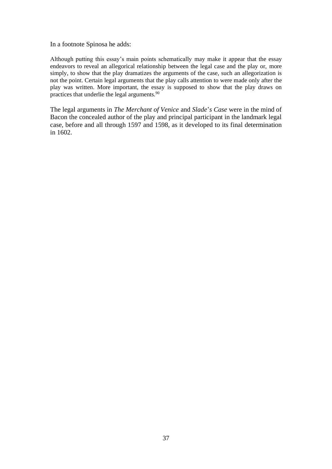In a footnote Spinosa he adds:

Although putting this essay's main points schematically may make it appear that the essay endeavors to reveal an allegorical relationship between the legal case and the play or, more simply, to show that the play dramatizes the arguments of the case, such an allegorization is not the point. Certain legal arguments that the play calls attention to were made only after the play was written. More important, the essay is supposed to show that the play draws on practices that underlie the legal arguments.<sup>90</sup>

The legal arguments in *The Merchant of Venice* and *Slade*'*s Case* were in the mind of Bacon the concealed author of the play and principal participant in the landmark legal case, before and all through 1597 and 1598, as it developed to its final determination in 1602.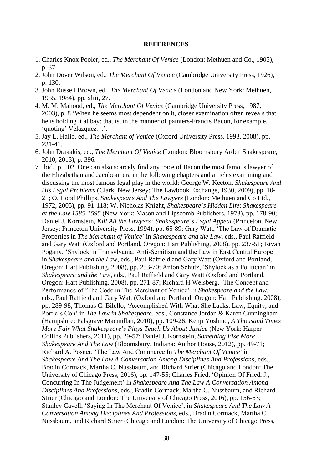#### **REFERENCES**

- 1. Charles Knox Pooler, ed., *The Merchant Of Venice* (London: Methuen and Co., 1905), p. 37.
- 2. John Dover Wilson, ed., *The Merchant Of Venice* (Cambridge University Press, 1926), p. 130.
- 3. John Russell Brown, ed., *The Merchant Of Venice* (London and New York: Methuen, 1955, 1984), pp. xliii, 27.
- 4. M. M. Mahood, ed., *The Merchant Of Venice* (Cambridge University Press, 1987, 2003), p. 8 'When he seems most dependent on it, closer examination often reveals that he is holding it at bay: that is, in the manner of painters-Francis Bacon, for example, 'quoting' Velazquez…'.
- 5. Jay L. Halio, ed., *The Merchant of Venice* (Oxford University Press, 1993, 2008), pp. 231-41.
- 6. John Drakakis, ed., *The Merchant Of Venice* (London: Bloomsbury Arden Shakespeare, 2010, 2013), p. 396.
- 7. Ibid., p. 102. One can also scarcely find any trace of Bacon the most famous lawyer of the Elizabethan and Jacobean era in the following chapters and articles examining and discussing the most famous legal play in the world: George W. Keeton, *Shakespeare And His Legal Problems* (Clark, New Jersey: The Lawbook Exchange, 1930, 2009), pp. 10- 21; O. Hood Phillips, *Shakespeare And The Lawyers* (London: Methuen and Co Ltd., 1972, 2005), pp. 91-118; W. Nicholas Knight, *Shakespeare*'*s Hidden Life*: *Shakespeare at the Law 1585-1595* (New York: Mason and Lipscomb Publishers, 1973), pp. 178-90; Daniel J. Kornstein, *Kill All the Lawyers*? *Shakespeare*'*s Legal Appeal* (Princeton, New Jersey: Princeton University Press, 1994), pp. 65-89; Gary Watt, 'The Law of Dramatic Properties in *The Merchant of Venice*' in *Shakespeare and the Law*, eds., Paul Raffield and Gary Watt (Oxford and Portland, Oregon: Hart Publishing, 2008), pp. 237-51; Istvan Pogany, 'Shylock in Transylvania: Anti-Semitism and the Law in East Central Europe' in *Shakespeare and the Law*, eds., Paul Raffield and Gary Watt (Oxford and Portland, Oregon: Hart Publishing, 2008), pp. 253-70; Anton Schutz, 'Shylock as a Politician' in *Shakespeare and the Law*, eds., Paul Raffield and Gary Watt (Oxford and Portland, Oregon: Hart Publishing, 2008), pp. 271-87; Richard H Weisberg, 'The Concept and Performance of 'The Code in The Merchant of Venice' in *Shakespeare and the Law*, eds., Paul Raffield and Gary Watt (Oxford and Portland, Oregon: Hart Publishing, 2008), pp. 289-98; Thomas C. Bilello, 'Accomplished With What She Lacks: Law, Equity, and Portia's Con' in *The Law in Shakespeare*, eds., Constance Jordan & Karen Cunningham (Hampshire: Palsgrave Macmillan, 2010), pp. 109-26; Kenji Yoshino, *A Thousand Times More Fair What Shakespeare*'*s Plays Teach Us About Justice* (New York: Harper Collins Publishers, 2011), pp. 29-57; Daniel J. Kornstein, *Something Else More Shakespeare And The Law* (Bloomsbury, Indiana: Author House, 2012), pp. 49-71; Richard A. Posner, 'The Law And Commerce In *The Merchant Of Venice*' in  *Shakespeare And The Law A Conversation Among Disciplines And Professions*, eds., Bradin Cormack, Martha C. Nussbaum, and Richard Strier (Chicago and London: The University of Chicago Press, 2016), pp. 147-55; Charles Fried, 'Opinion Of Fried, J., Concurring In The Judgement' in *Shakespeare And The Law A Conversation Among Disciplines And Professions*, eds., Bradin Cormack, Martha C. Nussbaum, and Richard Strier (Chicago and London: The University of Chicago Press, 2016), pp. 156-63; Stanley Cavell, 'Saying In The Merchant Of Venice', in *Shakespeare And The Law A Conversation Among Disciplines And Professions*, eds., Bradin Cormack, Martha C. Nussbaum, and Richard Strier (Chicago and London: The University of Chicago Press,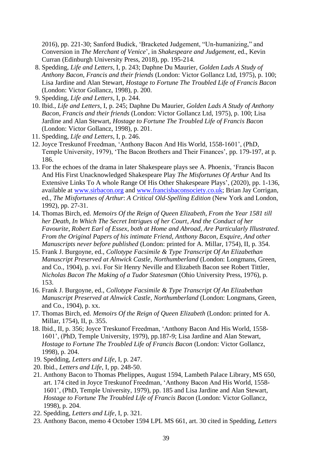2016), pp. 221-30; Sanford Budick, 'Bracketed Judgement, "Un-humanizing," and Conversion in *The Merchant of Venice*', in *Shakespeare and Judgement*, ed., Kevin Curran (Edinburgh University Press, 2018), pp. 195-214.

- 8. Spedding, *Life and Letters*, I, p. 243; Daphne Du Maurier, *Golden Lads A Study of Anthony Bacon*, *Francis and their friends* (London: Victor Gollancz Ltd, 1975), p. 100; Lisa Jardine and Alan Stewart, *Hostage to Fortune The Troubled Life of Francis Bacon* (London: Victor Gollancz, 1998), p. 200.
- 9. Spedding, *Life and Letters*, I, p. 244.
- 10. Ibid., *Life and Letters*, I, p. 245; Daphne Du Maurier, *Golden Lads A Study of Anthony Bacon*, *Francis and their friends* (London: Victor Gollancz Ltd, 1975), p. 100; Lisa Jardine and Alan Stewart, *Hostage to Fortune The Troubled Life of Francis Bacon* (London: Victor Gollancz, 1998), p. 201.
- 11. Spedding, *Life and Letters*, I, p. 246.
- 12. Joyce Treskunof Freedman, 'Anthony Bacon And His World, 1558-1601', (PhD, Temple University, 1979), 'The Bacon Brothers and Their Finances', pp. 179-197, at p. 186.
- 13. For the echoes of the drama in later Shakespeare plays see A. Phoenix, 'Francis Bacon And His First Unacknowledged Shakespeare Play *The Misfortunes Of Arthur* And Its Extensive Links To A whole Range Of His Other Shakespeare Plays', (2020), pp. 1-136, available at [www.sirbacon.org](http://www.sirbacon.org/) and [www.francisbaconsociety.co.uk;](http://www.francisbaconsociety.co.uk/) Brian Jay Corrigan, ed., *The Misfortunes of Arthur*: *A Critical Old-Spelling Edition* (New York and London, 1992), pp. 27-31.
- 14. Thomas Birch, ed. *Memoirs Of the Reign of Queen Elizabeth*, *From the Year 1581 till her Death*, *In Which The Secret Intrigues of her Court*, *And the Conduct of her Favourite*, *Robert Earl of Essex*, *both at Home and Abroad*, *Are Particularly Illustrated*.  *From the Original Papers of his intimate Friend*, *Anthony Bacon*, *Esquire*, *And other Manuscripts never before published* (London: printed for A. Millar, 1754), II, p. 354.
- 15. Frank J. Burgoyne, ed., *Collotype Facsimile & Type Transcript Of An Elizabethan Manuscript Preserved at Alnwick Castle*, *Northumberland* (London: Longmans, Green, and Co., 1904), p. xvi. For Sir Henry Neville and Elizabeth Bacon see Robert Tittler, *Nicholas Bacon The Making of a Tudor Statesman* (Ohio University Press, 1976), p. 153.
- 16. Frank J. Burgoyne, ed., *Collotype Facsimile & Type Transcript Of An Elizabethan Manuscript Preserved at Alnwick Castle*, *Northumberland* (London: Longmans, Green, and Co., 1904), p. xx.
- 17. Thomas Birch, ed. *Memoirs Of the Reign of Queen Elizabeth* (London: printed for A. Millar, 1754), II, p. 355.
- 18. Ibid., II, p. 356; Joyce Treskunof Freedman, 'Anthony Bacon And His World, 1558- 1601', (PhD, Temple University, 1979), pp.187-9; Lisa Jardine and Alan Stewart, *Hostage to Fortune The Troubled Life of Francis Bacon* (London: Victor Gollancz, 1998), p. 204.
- 19. Spedding, *Letters and Life*, I, p. 247.
- 20. Ibid., *Letters and Life*, I, pp. 248-50.
- 21. Anthony Bacon to Thomas Phelippes, August 1594, Lambeth Palace Library, MS 650, art. 174 cited in Joyce Treskunof Freedman, 'Anthony Bacon And His World, 1558- 1601', (PhD, Temple University, 1979), pp. 185 and Lisa Jardine and Alan Stewart, *Hostage to Fortune The Troubled Life of Francis Bacon* (London: Victor Gollancz, 1998), p. 204.
- 22. Spedding, *Letters and Life*, I, p. 321.
- 23. Anthony Bacon, memo 4 October 1594 LPL MS 661, art. 30 cited in Spedding, *Letters*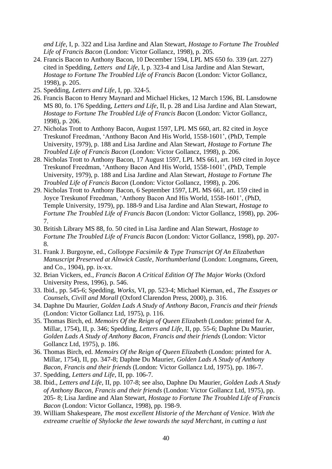*and Life*, I, p. 322 and Lisa Jardine and Alan Stewart, *Hostage to Fortune The Troubled Life of Francis Bacon* (London: Victor Gollancz, 1998), p. 205.

- 24. Francis Bacon to Anthony Bacon, 10 December 1594, LPL MS 650 fo. 339 (art. 227) cited in Spedding, *Letters and Life*, I, p. 323-4 and Lisa Jardine and Alan Stewart, *Hostage to Fortune The Troubled Life of Francis Bacon* (London: Victor Gollancz, 1998), p. 205.
- 25. Spedding, *Letters and Life*, I, pp. 324-5.
- 26. Francis Bacon to Henry Maynard and Michael Hickes, 12 March 1596, BL Lansdowne MS 80, fo. 176 Spedding, *Letters and Life*, II, p. 28 and Lisa Jardine and Alan Stewart, *Hostage to Fortune The Troubled Life of Francis Bacon* (London: Victor Gollancz, 1998), p. 206.
- 27. Nicholas Trott to Anthony Bacon, August 1597, LPL MS 660, art. 82 cited in Joyce Treskunof Freedman, 'Anthony Bacon And His World, 1558-1601', (PhD, Temple University, 1979), p. 188 and Lisa Jardine and Alan Stewart, *Hostage to Fortune The Troubled Life of Francis Bacon* (London: Victor Gollancz, 1998), p. 206.
- 28. Nicholas Trott to Anthony Bacon, 17 August 1597, LPL MS 661, art. 169 cited in Joyce Treskunof Freedman, 'Anthony Bacon And His World, 1558-1601', (PhD, Temple University, 1979), p. 188 and Lisa Jardine and Alan Stewart, *Hostage to Fortune The Troubled Life of Francis Bacon* (London: Victor Gollancz, 1998), p. 206.
- 29. Nicholas Trott to Anthony Bacon, 6 September 1597, LPL MS 661, art. 159 cited in Joyce Treskunof Freedman, 'Anthony Bacon And His World, 1558-1601', (PhD, Temple University, 1979), pp. 188-9 and Lisa Jardine and Alan Stewart, *Hostage to Fortune The Troubled Life of Francis Bacon* (London: Victor Gollancz, 1998), pp. 206- 7.
- 30. British Library MS 88, fo. 50 cited in Lisa Jardine and Alan Stewart, *Hostage to Fortune The Troubled Life of Francis Bacon* (London: Victor Gollancz, 1998), pp. 207- 8.
- 31. Frank J. Burgoyne, ed., *Collotype Facsimile & Type Transcript Of An Elizabethan Manuscript Preserved at Alnwick Castle*, *Northumberland* (London: Longmans, Green, and Co., 1904), pp. ix-xx.
- 32. Brian Vickers, ed., *Francis Bacon A Critical Edition Of The Major Works* (Oxford University Press, 1996), p. 546.
- 33. Ibid., pp. 545-6; Spedding, *Works*, VI, pp. 523-4; Michael Kiernan, ed., *The Essayes or Counsels*, *Civill and Morall* (Oxford Clarendon Press, 2000), p. 316.
- 34. Daphne Du Maurier, *Golden Lads A Study of Anthony Bacon*, *Francis and their friends* (London: Victor Gollancz Ltd, 1975), p. 116.
- 35. Thomas Birch, ed. *Memoirs Of the Reign of Queen Elizabeth* (London: printed for A. Millar, 1754), II, p. 346; Spedding, *Letters and Life*, II, pp. 55-6; Daphne Du Maurier, *Golden Lads A Study of Anthony Bacon*, *Francis and their friends* (London: Victor Gollancz Ltd, 1975), p. 186.
- 36. Thomas Birch, ed. *Memoirs Of the Reign of Queen Elizabeth* (London: printed for A. Millar, 1754), II, pp. 347-8; Daphne Du Maurier, *Golden Lads A Study of Anthony Bacon*, *Francis and their friends* (London: Victor Gollancz Ltd, 1975), pp. 186-7.
- 37. Spedding, *Letters and Life*, II, pp. 106-7.
- 38. Ibid., *Letters and Life*, II, pp. 107-8; see also, Daphne Du Maurier, *Golden Lads A Study of Anthony Bacon*, *Francis and their friends* (London: Victor Gollancz Ltd, 1975), pp. 205- 8; Lisa Jardine and Alan Stewart, *Hostage to Fortune The Troubled Life of Francis Bacon* (London: Victor Gollancz, 1998), pp. 198-9.
- 39. William Shakespeare, *The most excellent Historie of the Merchant of Venice*. *With the extreame crueltie of Shylocke the Iewe towards the sayd Merchant*, *in cutting a iust*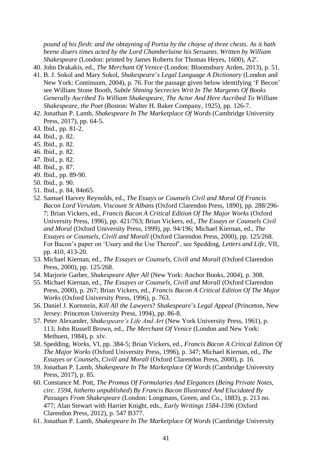*pound of his flesh*: *and the obtayning of Portia by the choyse of three chests*. *As it hath beene diuers times acted by the Lord Chamberlaine his Seruants*. *Written by William*  Shakespeare (London: printed by James Roberts for Thomas Heyes, 1600), A2<sup>r</sup>.

- 40. John Drakakis, ed., *The Merchant Of Venice* (London: Bloomsbury Arden, 2013), p. 51.
- 41. B. J. Sokol and Mary Sokol, *Shakespeare*'*s Legal Language A Dictionary* (London and New York: Continuum, 2004), p. 76. For the passage given below identifying 'F Becon' see William Stone Booth, *Subtle Shining Secrecies Writ In The Margents Of Books Generally Ascribed To William Shakespeare*, *The Actor And Here Ascribed To William Shakespeare*, *the Poet* (Boston: Walter H. Baker Company, 1925), pp. 126-7.
- 42. Jonathan P. Lamb, *Shakespeare In The Marketplace Of Words* (Cambridge University Press, 2017), pp. 64-5.
- 43. Ibid., pp. 81-2.
- 44. Ibid., p. 82.
- 45. Ibid., p. 82.
- 46. Ibid., p. 82.
- 47. Ibid., p. 82.
- 48. Ibid., p. 87.
- 49. Ibid., pp. 89-90.
- 50. Ibid., p. 90.
- 51. Ibid., p. 84, 84n65.
- 52. Samuel Harvey Reynolds, ed., *The Essays or Counsels Civil and Moral Of Francis Bacon Lord Verulam*, *Viscount St Albans* (Oxford Clarendon Press, 1890), pp. 288/296- 7; Brian Vickers, ed., *Francis Bacon A Critical Edition Of The Major Works* (Oxford University Press, 1996), pp. 421/763; Brian Vickers, ed., *The Essays or Counsels Civil and Moral* (Oxford University Press, 1999), pp. 94/196; Michael Kiernan, ed., *The Essayes or Counsels*, *Civill and Morall* (Oxford Clarendon Press, 2000), pp. 125/268. For Bacon's paper on 'Usury and the Use Thereof', see Spedding, *Letters and Life*, VII, pp. 410, 413-20.
- 53. Michael Kiernan, ed., *The Essayes or Counsels*, *Civill and Morall* (Oxford Clarendon Press, 2000), pp. 125/268.
- 54. Marjorie Garber, *Shakespeare After All* (New York: Anchor Books, 2004), p. 308.
- 55. Michael Kiernan, ed., *The Essayes or Counsels*, *Civill and Morall* (Oxford Clarendon Press, 2000), p. 267; Brian Vickers, ed., *Francis Bacon A Critical Edition Of The Major Works* (Oxford University Press, 1996), p. 763.
- 56. Daniel J. Kornstein, *Kill All the Lawyers*? *Shakespeare*'*s Legal Appeal* (Princeton, New Jersey: Princeton University Press, 1994), pp. 86-8.
- 57. Peter Alexander, *Shakespeare's Life And Art* (New York University Press, 1961), p. 113; John Russell Brown, ed., *The Merchant Of Venice* (London and New York: Methuen, 1984), p. xlv.
- 58. Spedding, *Works*, VI, pp. 384-5; Brian Vickers, ed., *Francis Bacon A Critical Edition Of The Major Works* (Oxford University Press, 1996), p. 347; Michael Kiernan, ed., *The Essayes or Counsels*, *Civill and Morall* (Oxford Clarendon Press, 2000), p. 16.
- 59. Jonathan P. Lamb, *Shakespeare In The Marketplace Of Words* (Cambridge University Press, 2017), p. 85.
- 60. Constance M. Pott, *The Promus Of Formularies And Elegances* (*Being Private Notes*, *circ*. *1594*, *hitherto unpublished*) *By Francis Bacon Illustrated And Elucidated By Passages From Shakespeare* (London: Longmans, Green, and Co., 1883), p. 213 no. 477; Alan Stewart with Harriet Knight, eds., *Early Writings 1584-1596* (Oxford Clarendon Press, 2012), p. 547 B377.
- 61. Jonathan P. Lamb, *Shakespeare In The Marketplace Of Words* (Cambridge University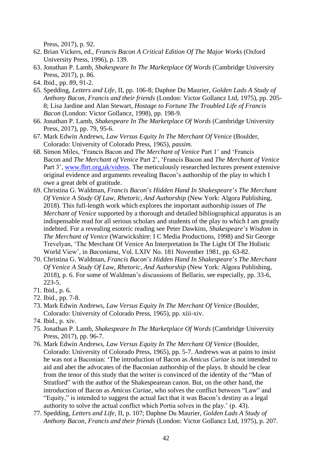Press, 2017), p. 92.

- 62. Brian Vickers, ed., *Francis Bacon A Critical Edition Of The Major Works* (Oxford University Press, 1996), p. 139.
- 63. Jonathan P. Lamb, *Shakespeare In The Marketplace Of Words* (Cambridge University Press, 2017), p. 86.
- 64. Ibid., pp. 89, 91-2.
- 65. Spedding, *Letters and Life*, II, pp. 106-8; Daphne Du Maurier, *Golden Lads A Study of Anthony Bacon*, *Francis and their friends* (London: Victor Gollancz Ltd, 1975), pp. 205- 8; Lisa Jardine and Alan Stewart, *Hostage to Fortune The Troubled Life of Francis Bacon* (London: Victor Gollancz, 1998), pp. 198-9.
- 66. Jonathan P. Lamb, *Shakespeare In The Marketplace Of Words* (Cambridge University Press, 2017), pp. 79, 95-6.
- 67. Mark Edwin Andrews, *Law Versus Equity In The Merchant Of Venice* (Boulder, Colorado: University of Colorado Press, 1965), *passim*.
- 68. Simon Miles, 'Francis Bacon and *The Merchant of Venice* Part 1' and 'Francis Bacon and *The Merchant of Venice* Part 2', 'Francis Bacon and *The Merchant of Venice* Part 3', [www.fbrt.org,uk/videos.](http://www.fbrt.org,uk/videos) The meticulously researched lectures present extensive original evidence and arguments revealing Bacon's authorship of the play to which I owe a great debt of gratitude.
- 69. Christina G. Waldman, *Francis Bacon*'*s Hidden Hand In Shakespeare*'*s The Merchant Of Venice A Study Of Law*, *Rhetoric*, *And Authorship* (New York: Algora Publishing, 2018). This full-length work which explores the important authorship issues of *The Merchant of Venice* supported by a thorough and detailed bibliographical apparatus is an indispensable read for all serious scholars and students of the play to which I am greatly indebted. For a revealing esoteric reading see Peter Dawkins, *Shakespeare*'*s Wisdom* in *The Merchant of Venice* (Warwickshire: I C Media Productions, 1998) and Sir George Trevelyan, 'The Merchant Of Venice An Interpretation In The Light Of The Holistic World View', in *Baconiana*, Vol. LXIV No. 181 November 1981, pp. 63-82.
- 70. Christina G. Waldman, *Francis Bacon*'*s Hidden Hand In Shakespeare*'*s The Merchant Of Venice A Study Of Law*, *Rhetoric*, *And Authorship* (New York: Algora Publishing, 2018), p. 6. For some of Waldman's discussions of Bellario, see especially, pp. 33-6, 223-5.
- 71. Ibid., p. 6.
- 72. Ibid., pp. 7-8.
- 73. Mark Edwin Andrews, *Law Versus Equity In The Merchant Of Venice* (Boulder, Colorado: University of Colorado Press, 1965), pp. xiii-xiv.
- 74. Ibid., p. xiv.
- 75. Jonathan P. Lamb, *Shakespeare In The Marketplace Of Words* (Cambridge University Press, 2017), pp. 96-7.
- 76. Mark Edwin Andrews, *Law Versus Equity In The Merchant Of Venice* (Boulder, Colorado: University of Colorado Press, 1965), pp. 5-7. Andrews was at pains to insist he was not a Baconian: 'The introduction of Bacon as *Amicus Curiae* is not intended to aid and abet the advocates of the Baconian authorship of the plays. It should be clear from the tenor of this study that the writer is convinced of the identity of the "Man of Stratford" with the author of the Shakespearean canon. But, on the other hand, the introduction of Bacon as *Amicus Curiae*, who solves the conflict between "Law" and "Equity," is intended to suggest the actual fact that it was Bacon's destiny as a legal authority to solve the actual conflict which Portia solves in the play.' (p. 43).
- 77. Spedding, *Letters and Life*, II, p. 107; Daphne Du Maurier, *Golden Lads A Study of Anthony Bacon*, *Francis and their friends* (London: Victor Gollancz Ltd, 1975), p. 207.